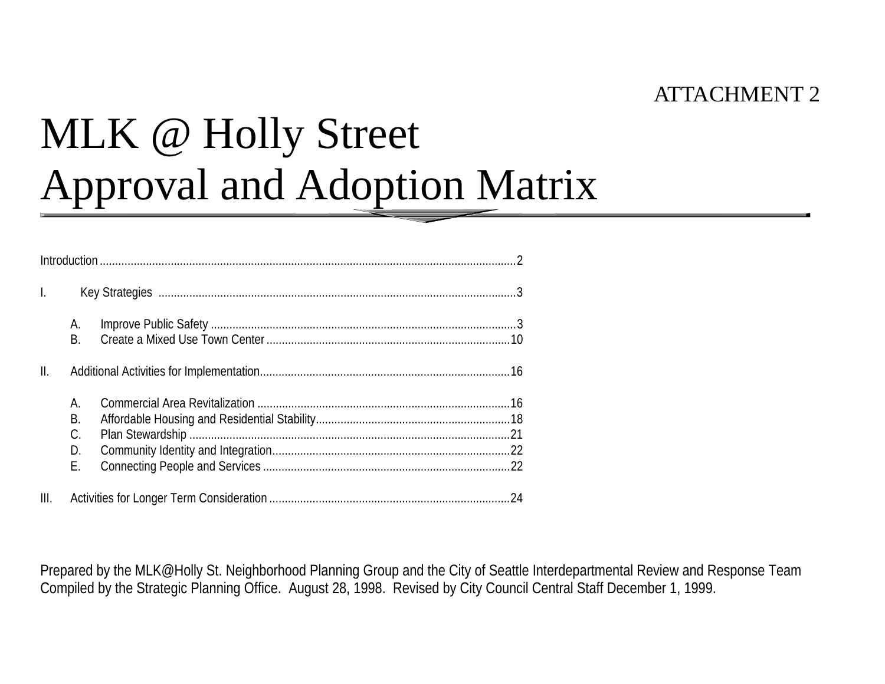## ATTACHMENT 2

# MLK @ Holly Street Approval and Adoption Matrix

| $\mathbf{L}$   |                 |  |
|----------------|-----------------|--|
|                | А.<br><b>B.</b> |  |
| $\mathbb{I}$ . |                 |  |
|                | А.              |  |
|                | Β.              |  |
|                | C.              |  |
|                | D.              |  |
|                | Ε.              |  |
| III.           |                 |  |

Prepared by the MLK@Holly St. Neighborhood Planning Group and the City of Seattle Interdepartmental Review and Response Team Compiled by the Strategic Planning Office. August 28, 1998. Revised by City Council Central Staff December 1, 1999.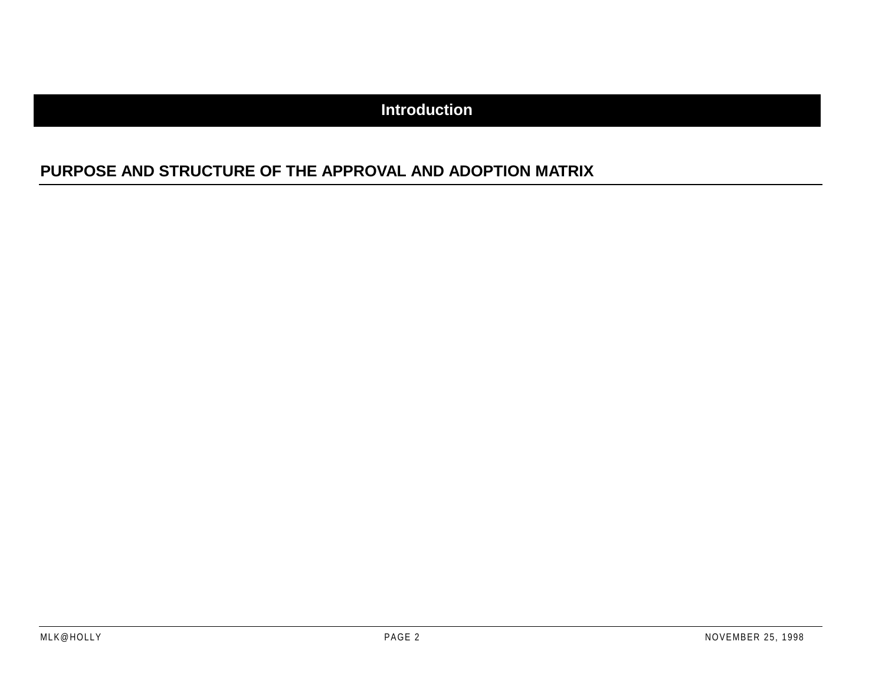#### **Introduction**

#### **PURPOSE AND STRUCTURE OF THE APPROVAL AND ADOPTION MATRIX**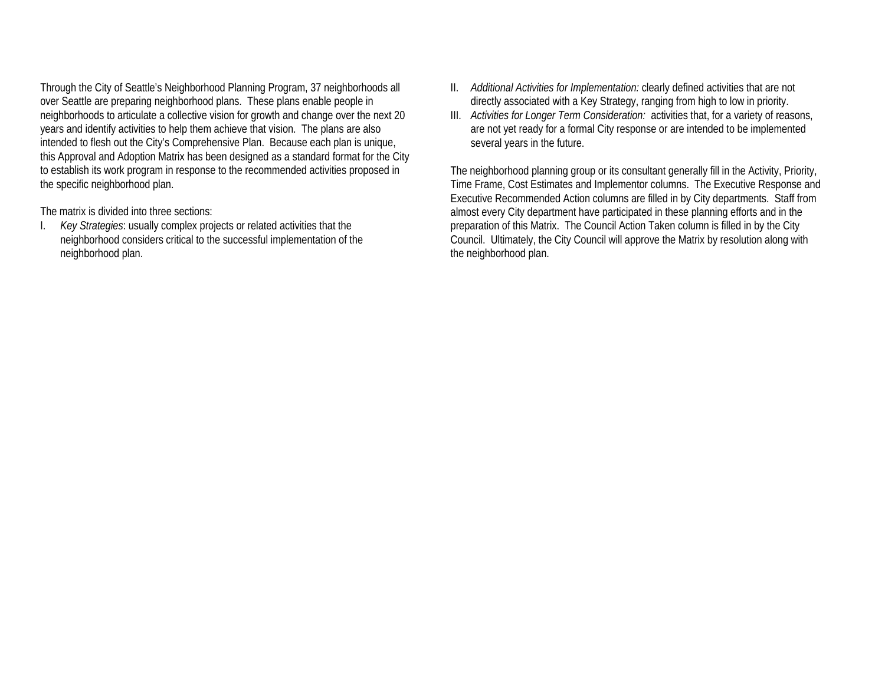Through the City of Seattle's Neighborhood Planning Program, 37 neighborhoods all over Seattle are preparing neighborhood plans. These plans enable people in neighborhoods to articulate a collective vision for growth and change over the next 20 years and identify activities to help them achieve that vision. The plans are also intended to flesh out the City's Comprehensive Plan. Because each plan is unique, this Approval and Adoption Matrix has been designed as a standard format for the City to establish its work program in response to the recommended activities proposed in the specific neighborhood plan.

The matrix is divided into three sections:

I. *Key Strategies*: usually complex projects or related activities that the neighborhood considers critical to the successful implementation of the neighborhood plan.

- II. *Additional Activities for Implementation:* clearly defined activities that are not directly associated with a Key Strategy, ranging from high to low in priority.
- III. *Activities for Longer Term Consideration:* activities that, for a variety of reasons, are not yet ready for a formal City response or are intended to be implemented several years in the future.

The neighborhood planning group or its consultant generally fill in the Activity, Priority, Time Frame, Cost Estimates and Implementor columns. The Executive Response and Executive Recommended Action columns are filled in by City departments. Staff from almost every City department have participated in these planning efforts and in the preparation of this Matrix. The Council Action Taken column is filled in by the City Council. Ultimately, the City Council will approve the Matrix by resolution along with the neighborhood plan.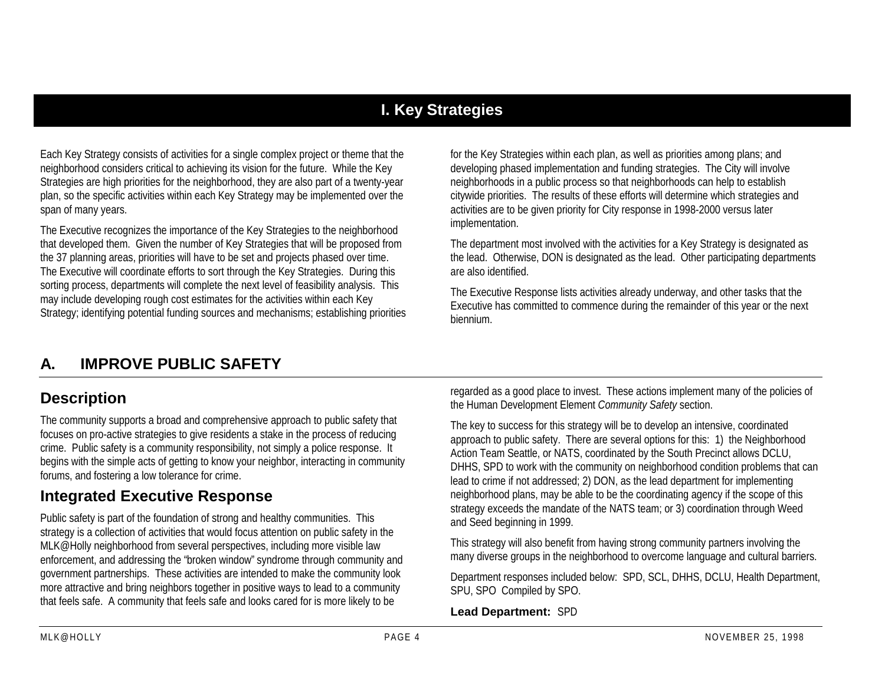### **I. Key Strategies**

Each Key Strategy consists of activities for a single complex project or theme that the neighborhood considers critical to achieving its vision for the future. While the Key Strategies are high priorities for the neighborhood, they are also part of a twenty-year plan, so the specific activities within each Key Strategy may be implemented over the span of many years.

The Executive recognizes the importance of the Key Strategies to the neighborhood that developed them. Given the number of Key Strategies that will be proposed from the 37 planning areas, priorities will have to be set and projects phased over time. The Executive will coordinate efforts to sort through the Key Strategies. During this sorting process, departments will complete the next level of feasibility analysis. This may include developing rough cost estimates for the activities within each Key Strategy; identifying potential funding sources and mechanisms; establishing priorities for the Key Strategies within each plan, as well as priorities among plans; and developing phased implementation and funding strategies. The City will involve neighborhoods in a public process so that neighborhoods can help to establish citywide priorities. The results of these efforts will determine which strategies and activities are to be given priority for City response in 1998-2000 versus later implementation.

The department most involved with the activities for a Key Strategy is designated as the lead. Otherwise, DON is designated as the lead. Other participating departments are also identified.

The Executive Response lists activities already underway, and other tasks that the Executive has committed to commence during the remainder of this year or the next biennium.

## **A. IMPROVE PUBLIC SAFETY**

#### **Description**

The community supports a broad and comprehensive approach to public safety that focuses on pro-active strategies to give residents a stake in the process of reducing crime. Public safety is a community responsibility, not simply a police response. It begins with the simple acts of getting to know your neighbor, interacting in community forums, and fostering a low tolerance for crime.

### **Integrated Executive Response**

Public safety is part of the foundation of strong and healthy communities. This strategy is a collection of activities that would focus attention on public safety in the MLK@Holly neighborhood from several perspectives, including more visible law enforcement, and addressing the "broken window" syndrome through community and government partnerships. These activities are intended to make the community look more attractive and bring neighbors together in positive ways to lead to a community that feels safe. A community that feels safe and looks cared for is more likely to be

regarded as a good place to invest. These actions implement many of the policies of the Human Development Element *Community Safety* section.

The key to success for this strategy will be to develop an intensive, coordinated approach to public safety. There are several options for this: 1) the Neighborhood Action Team Seattle, or NATS, coordinated by the South Precinct allows DCLU, DHHS, SPD to work with the community on neighborhood condition problems that can lead to crime if not addressed; 2) DON, as the lead department for implementing neighborhood plans, may be able to be the coordinating agency if the scope of this strategy exceeds the mandate of the NATS team; or 3) coordination through Weed and Seed beginning in 1999.

This strategy will also benefit from having strong community partners involving the many diverse groups in the neighborhood to overcome language and cultural barriers.

Department responses included below: SPD, SCL, DHHS, DCLU, Health Department, SPU, SPO Compiled by SPO.

#### **Lead Department:** SPD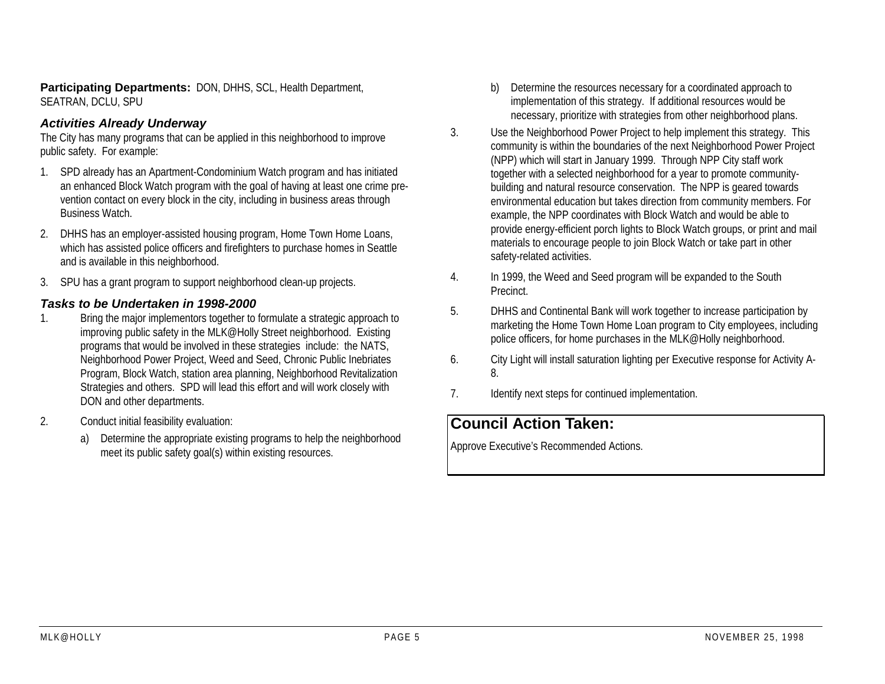**Participating Departments:** DON, DHHS, SCL, Health Department, SEATRAN, DCLU, SPU

#### *Activities Already Underway*

The City has many programs that can be applied in this neighborhood to improve public safety. For example:

- 1. SPD already has an Apartment-Condominium Watch program and has initiated an enhanced Block Watch program with the goal of having at least one crime prevention contact on every block in the city, including in business areas through Business Watch.
- 2. DHHS has an employer-assisted housing program, Home Town Home Loans, which has assisted police officers and firefighters to purchase homes in Seattle and is available in this neighborhood.
- 3. SPU has a grant program to support neighborhood clean-up projects.

#### *Tasks to be Undertaken in 1998-2000*

- 1. Bring the major implementors together to formulate a strategic approach to improving public safety in the MLK@Holly Street neighborhood. Existing programs that would be involved in these strategies include: the NATS, Neighborhood Power Project, Weed and Seed, Chronic Public Inebriates Program, Block Watch, station area planning, Neighborhood Revitalization Strategies and others. SPD will lead this effort and will work closely with DON and other departments.
- 2. Conduct initial feasibility evaluation:
	- a) Determine the appropriate existing programs to help the neighborhood meet its public safety goal(s) within existing resources.
- b) Determine the resources necessary for a coordinated approach to implementation of this strategy. If additional resources would be necessary, prioritize with strategies from other neighborhood plans.
- Use the Neighborhood Power Project to help implement this strategy. This community is within the boundaries of the next Neighborhood Power Project (NPP) which will start in January 1999. Through NPP City staff work together with a selected neighborhood for a year to promote communitybuilding and natural resource conservation. The NPP is geared towards environmental education but takes direction from community members. For example, the NPP coordinates with Block Watch and would be able to provide energy-efficient porch lights to Block Watch groups, or print and mail materials to encourage people to join Block Watch or take part in other safety-related activities.
- 4. In 1999, the Weed and Seed program will be expanded to the South Precinct.
- 5. DHHS and Continental Bank will work together to increase participation by marketing the Home Town Home Loan program to City employees, including police officers, for home purchases in the MLK@Holly neighborhood.
- 6. City Light will install saturation lighting per Executive response for Activity A-8.
- 7.Identify next steps for continued implementation.

#### **Council Action Taken:**

3.

Approve Executive's Recommended Actions.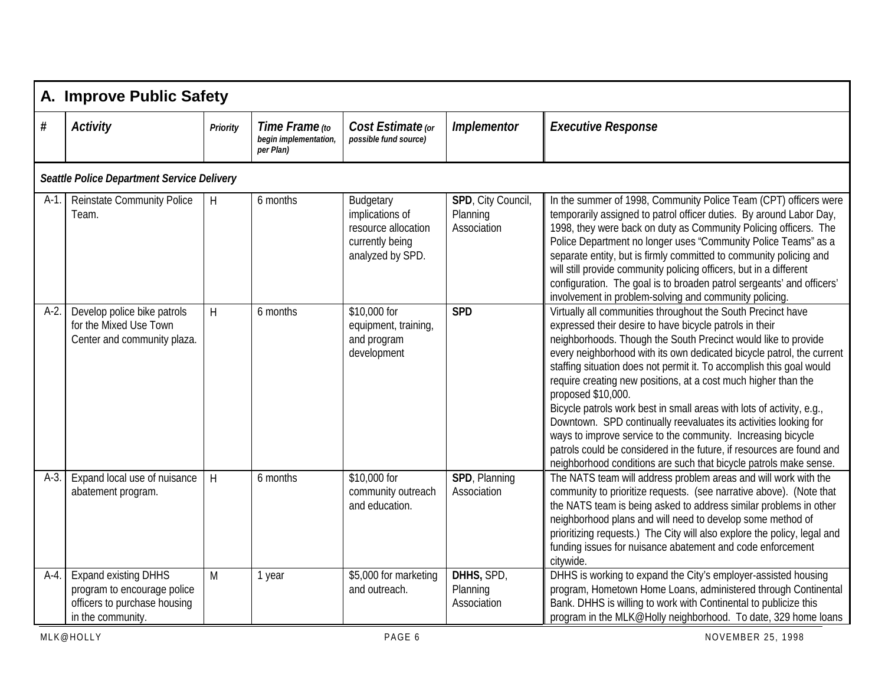|         | A. Improve Public Safety                                                                                        |                 |                                                      |                                                                                            |                                               |                                                                                                                                                                                                                                                                                                                                                                                                                                                                                                                                                                                                                                                                                                                                                                                               |  |  |  |  |  |
|---------|-----------------------------------------------------------------------------------------------------------------|-----------------|------------------------------------------------------|--------------------------------------------------------------------------------------------|-----------------------------------------------|-----------------------------------------------------------------------------------------------------------------------------------------------------------------------------------------------------------------------------------------------------------------------------------------------------------------------------------------------------------------------------------------------------------------------------------------------------------------------------------------------------------------------------------------------------------------------------------------------------------------------------------------------------------------------------------------------------------------------------------------------------------------------------------------------|--|--|--|--|--|
| $\#$    | <b>Activity</b>                                                                                                 | <b>Priority</b> | Time Frame (to<br>begin implementation,<br>per Plan) | Cost Estimate (or<br>possible fund source)                                                 | <b>Implementor</b>                            | <b>Executive Response</b>                                                                                                                                                                                                                                                                                                                                                                                                                                                                                                                                                                                                                                                                                                                                                                     |  |  |  |  |  |
|         | Seattle Police Department Service Delivery                                                                      |                 |                                                      |                                                                                            |                                               |                                                                                                                                                                                                                                                                                                                                                                                                                                                                                                                                                                                                                                                                                                                                                                                               |  |  |  |  |  |
| $A-1$ . | <b>Reinstate Community Police</b><br>Team.                                                                      | H               | 6 months                                             | Budgetary<br>implications of<br>resource allocation<br>currently being<br>analyzed by SPD. | SPD, City Council,<br>Planning<br>Association | In the summer of 1998, Community Police Team (CPT) officers were<br>temporarily assigned to patrol officer duties. By around Labor Day,<br>1998, they were back on duty as Community Policing officers. The<br>Police Department no longer uses "Community Police Teams" as a<br>separate entity, but is firmly committed to community policing and<br>will still provide community policing officers, but in a different<br>configuration. The goal is to broaden patrol sergeants' and officers'<br>involvement in problem-solving and community policing.                                                                                                                                                                                                                                  |  |  |  |  |  |
| $A-2.$  | Develop police bike patrols<br>for the Mixed Use Town<br>Center and community plaza.                            | H               | 6 months                                             | \$10,000 for<br>equipment, training,<br>and program<br>development                         | <b>SPD</b>                                    | Virtually all communities throughout the South Precinct have<br>expressed their desire to have bicycle patrols in their<br>neighborhoods. Though the South Precinct would like to provide<br>every neighborhood with its own dedicated bicycle patrol, the current<br>staffing situation does not permit it. To accomplish this goal would<br>require creating new positions, at a cost much higher than the<br>proposed \$10,000.<br>Bicycle patrols work best in small areas with lots of activity, e.g.,<br>Downtown. SPD continually reevaluates its activities looking for<br>ways to improve service to the community. Increasing bicycle<br>patrols could be considered in the future, if resources are found and<br>neighborhood conditions are such that bicycle patrols make sense. |  |  |  |  |  |
| $A-3$   | Expand local use of nuisance<br>abatement program.                                                              | H               | 6 months                                             | \$10,000 for<br>community outreach<br>and education.                                       | SPD, Planning<br>Association                  | The NATS team will address problem areas and will work with the<br>community to prioritize requests. (see narrative above). (Note that<br>the NATS team is being asked to address similar problems in other<br>neighborhood plans and will need to develop some method of<br>prioritizing requests.) The City will also explore the policy, legal and<br>funding issues for nuisance abatement and code enforcement<br>citywide.                                                                                                                                                                                                                                                                                                                                                              |  |  |  |  |  |
| $A-4$ . | <b>Expand existing DHHS</b><br>program to encourage police<br>officers to purchase housing<br>in the community. | M               | 1 year                                               | \$5,000 for marketing<br>and outreach.                                                     | DHHS, SPD,<br>Planning<br>Association         | DHHS is working to expand the City's employer-assisted housing<br>program, Hometown Home Loans, administered through Continental<br>Bank. DHHS is willing to work with Continental to publicize this<br>program in the MLK@Holly neighborhood. To date, 329 home loans                                                                                                                                                                                                                                                                                                                                                                                                                                                                                                                        |  |  |  |  |  |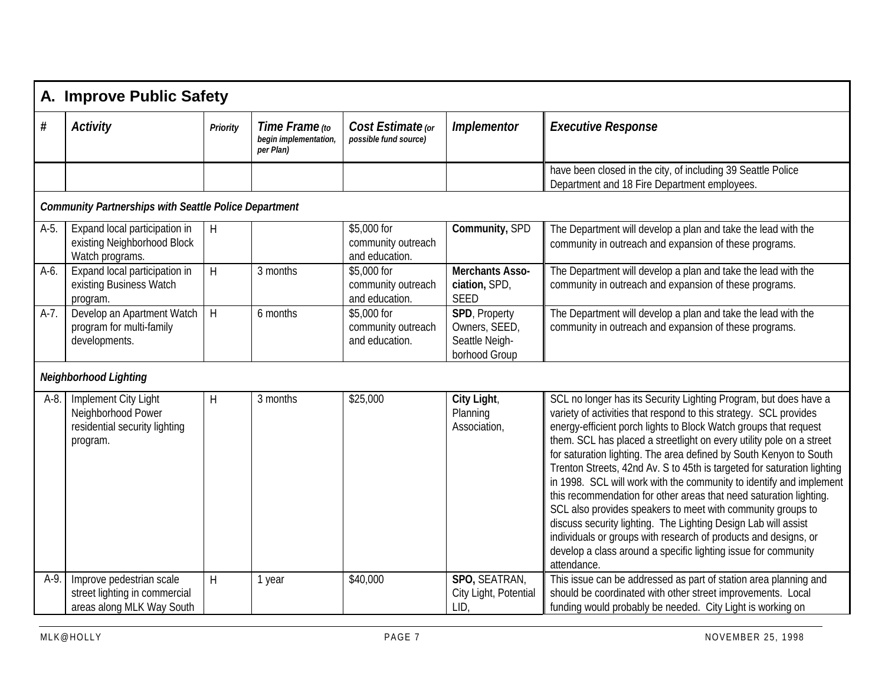|         | A. Improve Public Safety                                                                |                         |                                                     |                                                     |                                                                   |                                                                                                                                                                                                                                                                                                                                                                                                                                                                                                                                                                                                                                                                                                                                                                                                                                                                      |  |  |  |
|---------|-----------------------------------------------------------------------------------------|-------------------------|-----------------------------------------------------|-----------------------------------------------------|-------------------------------------------------------------------|----------------------------------------------------------------------------------------------------------------------------------------------------------------------------------------------------------------------------------------------------------------------------------------------------------------------------------------------------------------------------------------------------------------------------------------------------------------------------------------------------------------------------------------------------------------------------------------------------------------------------------------------------------------------------------------------------------------------------------------------------------------------------------------------------------------------------------------------------------------------|--|--|--|
| $\#$    | <b>Activity</b>                                                                         | <b>Priority</b>         | Time Frame to<br>begin implementation,<br>per Plan) | Cost Estimate (or<br>possible fund source)          | <b>Implementor</b>                                                | <b>Executive Response</b>                                                                                                                                                                                                                                                                                                                                                                                                                                                                                                                                                                                                                                                                                                                                                                                                                                            |  |  |  |
|         |                                                                                         |                         |                                                     |                                                     |                                                                   | have been closed in the city, of including 39 Seattle Police<br>Department and 18 Fire Department employees.                                                                                                                                                                                                                                                                                                                                                                                                                                                                                                                                                                                                                                                                                                                                                         |  |  |  |
|         | <b>Community Partnerships with Seattle Police Department</b>                            |                         |                                                     |                                                     |                                                                   |                                                                                                                                                                                                                                                                                                                                                                                                                                                                                                                                                                                                                                                                                                                                                                                                                                                                      |  |  |  |
| $A-5$ . | Expand local participation in<br>existing Neighborhood Block<br>Watch programs.         | $\sf H$                 |                                                     | \$5,000 for<br>community outreach<br>and education. | Community, SPD                                                    | The Department will develop a plan and take the lead with the<br>community in outreach and expansion of these programs.                                                                                                                                                                                                                                                                                                                                                                                                                                                                                                                                                                                                                                                                                                                                              |  |  |  |
| $A-6$ . | Expand local participation in<br>existing Business Watch<br>program.                    | $\overline{\mathsf{H}}$ | 3 months                                            | \$5,000 for<br>community outreach<br>and education. | <b>Merchants Asso-</b><br>ciation, SPD,<br><b>SEED</b>            | The Department will develop a plan and take the lead with the<br>community in outreach and expansion of these programs.                                                                                                                                                                                                                                                                                                                                                                                                                                                                                                                                                                                                                                                                                                                                              |  |  |  |
| $A-7.$  | Develop an Apartment Watch<br>program for multi-family<br>developments.                 | $\overline{\mathsf{H}}$ | 6 months                                            | \$5,000 for<br>community outreach<br>and education. | SPD, Property<br>Owners, SEED,<br>Seattle Neigh-<br>borhood Group | The Department will develop a plan and take the lead with the<br>community in outreach and expansion of these programs.                                                                                                                                                                                                                                                                                                                                                                                                                                                                                                                                                                                                                                                                                                                                              |  |  |  |
|         | <b>Neighborhood Lighting</b>                                                            |                         |                                                     |                                                     |                                                                   |                                                                                                                                                                                                                                                                                                                                                                                                                                                                                                                                                                                                                                                                                                                                                                                                                                                                      |  |  |  |
| A-8.    | Implement City Light<br>Neighborhood Power<br>residential security lighting<br>program. | $\mathsf{H}$            | 3 months                                            | \$25,000                                            | City Light,<br>Planning<br>Association,                           | SCL no longer has its Security Lighting Program, but does have a<br>variety of activities that respond to this strategy. SCL provides<br>energy-efficient porch lights to Block Watch groups that request<br>them. SCL has placed a streetlight on every utility pole on a street<br>for saturation lighting. The area defined by South Kenyon to South<br>Trenton Streets, 42nd Av. S to 45th is targeted for saturation lighting<br>in 1998. SCL will work with the community to identify and implement<br>this recommendation for other areas that need saturation lighting.<br>SCL also provides speakers to meet with community groups to<br>discuss security lighting. The Lighting Design Lab will assist<br>individuals or groups with research of products and designs, or<br>develop a class around a specific lighting issue for community<br>attendance. |  |  |  |
| $A-9.$  | Improve pedestrian scale<br>street lighting in commercial<br>areas along MLK Way South  | H                       | 1 year                                              | \$40,000                                            | SPO, SEATRAN,<br>City Light, Potential<br>LID                     | This issue can be addressed as part of station area planning and<br>should be coordinated with other street improvements. Local<br>funding would probably be needed. City Light is working on                                                                                                                                                                                                                                                                                                                                                                                                                                                                                                                                                                                                                                                                        |  |  |  |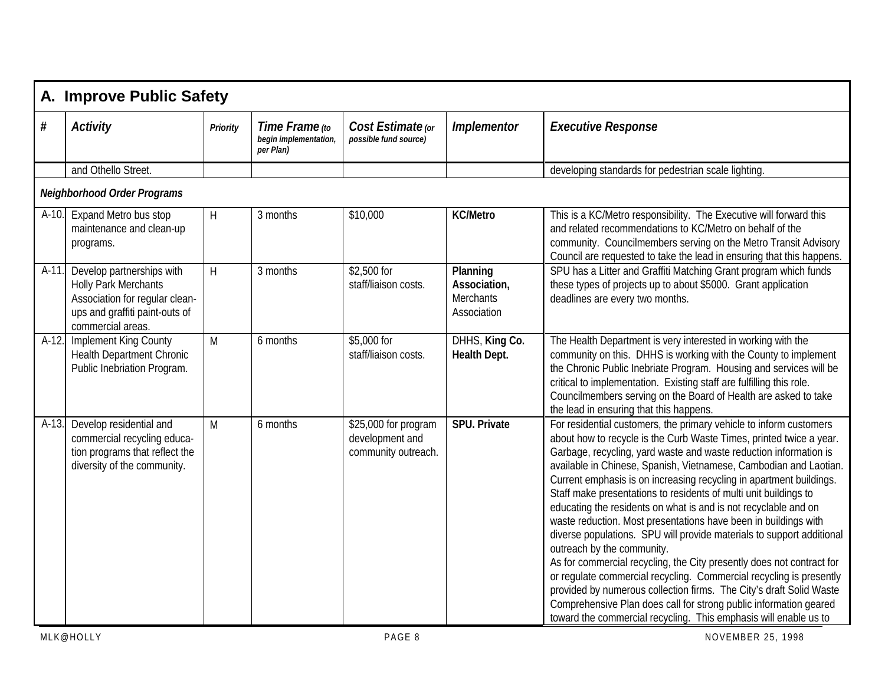|         | A. Improve Public Safety                                                                                                                          |                 |                                                      |                                                                |                                                             |                                                                                                                                                                                                                                                                                                                                                                                                                                                                                                                                                                                                                                                                                                                                                                                                                                                                                                                                                                                                                                             |  |  |  |
|---------|---------------------------------------------------------------------------------------------------------------------------------------------------|-----------------|------------------------------------------------------|----------------------------------------------------------------|-------------------------------------------------------------|---------------------------------------------------------------------------------------------------------------------------------------------------------------------------------------------------------------------------------------------------------------------------------------------------------------------------------------------------------------------------------------------------------------------------------------------------------------------------------------------------------------------------------------------------------------------------------------------------------------------------------------------------------------------------------------------------------------------------------------------------------------------------------------------------------------------------------------------------------------------------------------------------------------------------------------------------------------------------------------------------------------------------------------------|--|--|--|
| $\#$    | <b>Activity</b>                                                                                                                                   | <b>Priority</b> | Time Frame (to<br>begin implementation,<br>per Plan) | Cost Estimate (or<br>possible fund source)                     | Implementor                                                 | <b>Executive Response</b>                                                                                                                                                                                                                                                                                                                                                                                                                                                                                                                                                                                                                                                                                                                                                                                                                                                                                                                                                                                                                   |  |  |  |
|         | and Othello Street.                                                                                                                               |                 |                                                      |                                                                |                                                             | developing standards for pedestrian scale lighting.                                                                                                                                                                                                                                                                                                                                                                                                                                                                                                                                                                                                                                                                                                                                                                                                                                                                                                                                                                                         |  |  |  |
|         | <b>Neighborhood Order Programs</b>                                                                                                                |                 |                                                      |                                                                |                                                             |                                                                                                                                                                                                                                                                                                                                                                                                                                                                                                                                                                                                                                                                                                                                                                                                                                                                                                                                                                                                                                             |  |  |  |
| A-10.   | Expand Metro bus stop<br>maintenance and clean-up<br>programs.                                                                                    | H               | 3 months                                             | \$10,000                                                       | <b>KC/Metro</b>                                             | This is a KC/Metro responsibility. The Executive will forward this<br>and related recommendations to KC/Metro on behalf of the<br>community. Councilmembers serving on the Metro Transit Advisory<br>Council are requested to take the lead in ensuring that this happens.                                                                                                                                                                                                                                                                                                                                                                                                                                                                                                                                                                                                                                                                                                                                                                  |  |  |  |
| $A-11.$ | Develop partnerships with<br><b>Holly Park Merchants</b><br>Association for regular clean-<br>ups and graffiti paint-outs of<br>commercial areas. | H               | 3 months                                             | \$2,500 for<br>staff/liaison costs.                            | Planning<br>Association,<br><b>Merchants</b><br>Association | SPU has a Litter and Graffiti Matching Grant program which funds<br>these types of projects up to about \$5000. Grant application<br>deadlines are every two months.                                                                                                                                                                                                                                                                                                                                                                                                                                                                                                                                                                                                                                                                                                                                                                                                                                                                        |  |  |  |
| A-12.   | Implement King County<br>Health Department Chronic<br>Public Inebriation Program.                                                                 | M               | 6 months                                             | \$5,000 for<br>staff/liaison costs.                            | DHHS, King Co.<br><b>Health Dept.</b>                       | The Health Department is very interested in working with the<br>community on this. DHHS is working with the County to implement<br>the Chronic Public Inebriate Program. Housing and services will be<br>critical to implementation. Existing staff are fulfilling this role.<br>Councilmembers serving on the Board of Health are asked to take<br>the lead in ensuring that this happens.                                                                                                                                                                                                                                                                                                                                                                                                                                                                                                                                                                                                                                                 |  |  |  |
| $A-13.$ | Develop residential and<br>commercial recycling educa-<br>tion programs that reflect the<br>diversity of the community.                           | M               | 6 months                                             | \$25,000 for program<br>development and<br>community outreach. | <b>SPU. Private</b>                                         | For residential customers, the primary vehicle to inform customers<br>about how to recycle is the Curb Waste Times, printed twice a year.<br>Garbage, recycling, yard waste and waste reduction information is<br>available in Chinese, Spanish, Vietnamese, Cambodian and Laotian.<br>Current emphasis is on increasing recycling in apartment buildings.<br>Staff make presentations to residents of multi unit buildings to<br>educating the residents on what is and is not recyclable and on<br>waste reduction. Most presentations have been in buildings with<br>diverse populations. SPU will provide materials to support additional<br>outreach by the community.<br>As for commercial recycling, the City presently does not contract for<br>or regulate commercial recycling. Commercial recycling is presently<br>provided by numerous collection firms. The City's draft Solid Waste<br>Comprehensive Plan does call for strong public information geared<br>toward the commercial recycling. This emphasis will enable us to |  |  |  |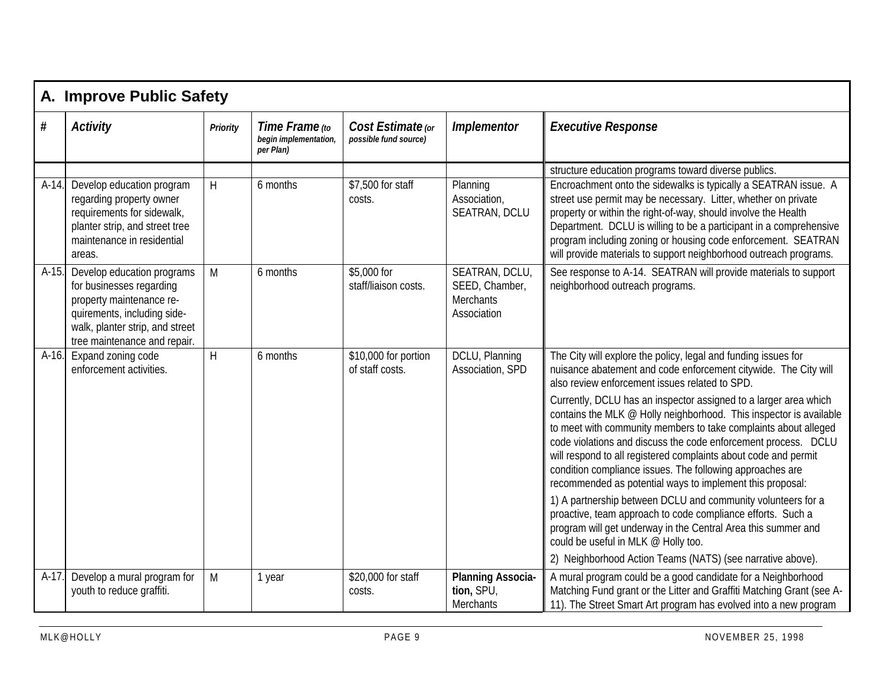|         | A. Improve Public Safety                                                                                                                                                             |                 |                                                      |                                            |                                                                     |                                                                                                                                                                                                                                                                                                                                                                                                                                                                          |  |  |  |  |
|---------|--------------------------------------------------------------------------------------------------------------------------------------------------------------------------------------|-----------------|------------------------------------------------------|--------------------------------------------|---------------------------------------------------------------------|--------------------------------------------------------------------------------------------------------------------------------------------------------------------------------------------------------------------------------------------------------------------------------------------------------------------------------------------------------------------------------------------------------------------------------------------------------------------------|--|--|--|--|
| #       | <b>Activity</b>                                                                                                                                                                      | <b>Priority</b> | Time Frame (to<br>begin implementation,<br>per Plan) | Cost Estimate (or<br>possible fund source) | <b>Implementor</b>                                                  | <b>Executive Response</b>                                                                                                                                                                                                                                                                                                                                                                                                                                                |  |  |  |  |
|         |                                                                                                                                                                                      |                 |                                                      |                                            |                                                                     | structure education programs toward diverse publics.                                                                                                                                                                                                                                                                                                                                                                                                                     |  |  |  |  |
| $A-14.$ | Develop education program<br>regarding property owner<br>requirements for sidewalk,<br>planter strip, and street tree<br>maintenance in residential<br>areas.                        | H               | 6 months                                             | \$7,500 for staff<br>costs.                | Planning<br>Association,<br>SEATRAN, DCLU                           | Encroachment onto the sidewalks is typically a SEATRAN issue. A<br>street use permit may be necessary. Litter, whether on private<br>property or within the right-of-way, should involve the Health<br>Department. DCLU is willing to be a participant in a comprehensive<br>program including zoning or housing code enforcement. SEATRAN<br>will provide materials to support neighborhood outreach programs.                                                          |  |  |  |  |
| $A-15.$ | Develop education programs<br>for businesses regarding<br>property maintenance re-<br>quirements, including side-<br>walk, planter strip, and street<br>tree maintenance and repair. | M               | 6 months                                             | \$5,000 for<br>staff/liaison costs.        | SEATRAN, DCLU,<br>SEED, Chamber,<br><b>Merchants</b><br>Association | See response to A-14. SEATRAN will provide materials to support<br>neighborhood outreach programs.                                                                                                                                                                                                                                                                                                                                                                       |  |  |  |  |
|         | A-16. Expand zoning code<br>enforcement activities.                                                                                                                                  | H               | 6 months                                             | \$10,000 for portion<br>of staff costs.    | DCLU, Planning<br>Association, SPD                                  | The City will explore the policy, legal and funding issues for<br>nuisance abatement and code enforcement citywide. The City will<br>also review enforcement issues related to SPD.                                                                                                                                                                                                                                                                                      |  |  |  |  |
|         |                                                                                                                                                                                      |                 |                                                      |                                            |                                                                     | Currently, DCLU has an inspector assigned to a larger area which<br>contains the MLK @ Holly neighborhood. This inspector is available<br>to meet with community members to take complaints about alleged<br>code violations and discuss the code enforcement process. DCLU<br>will respond to all registered complaints about code and permit<br>condition compliance issues. The following approaches are<br>recommended as potential ways to implement this proposal: |  |  |  |  |
|         |                                                                                                                                                                                      |                 |                                                      |                                            |                                                                     | 1) A partnership between DCLU and community volunteers for a<br>proactive, team approach to code compliance efforts. Such a<br>program will get underway in the Central Area this summer and<br>could be useful in MLK @ Holly too.                                                                                                                                                                                                                                      |  |  |  |  |
|         |                                                                                                                                                                                      |                 |                                                      |                                            |                                                                     | 2) Neighborhood Action Teams (NATS) (see narrative above).                                                                                                                                                                                                                                                                                                                                                                                                               |  |  |  |  |
| A-17.   | Develop a mural program for<br>youth to reduce graffiti.                                                                                                                             | M               | 1 year                                               | \$20,000 for staff<br>costs.               | <b>Planning Associa-</b><br>tion, SPU,<br>Merchants                 | A mural program could be a good candidate for a Neighborhood<br>Matching Fund grant or the Litter and Graffiti Matching Grant (see A-<br>11). The Street Smart Art program has evolved into a new program                                                                                                                                                                                                                                                                |  |  |  |  |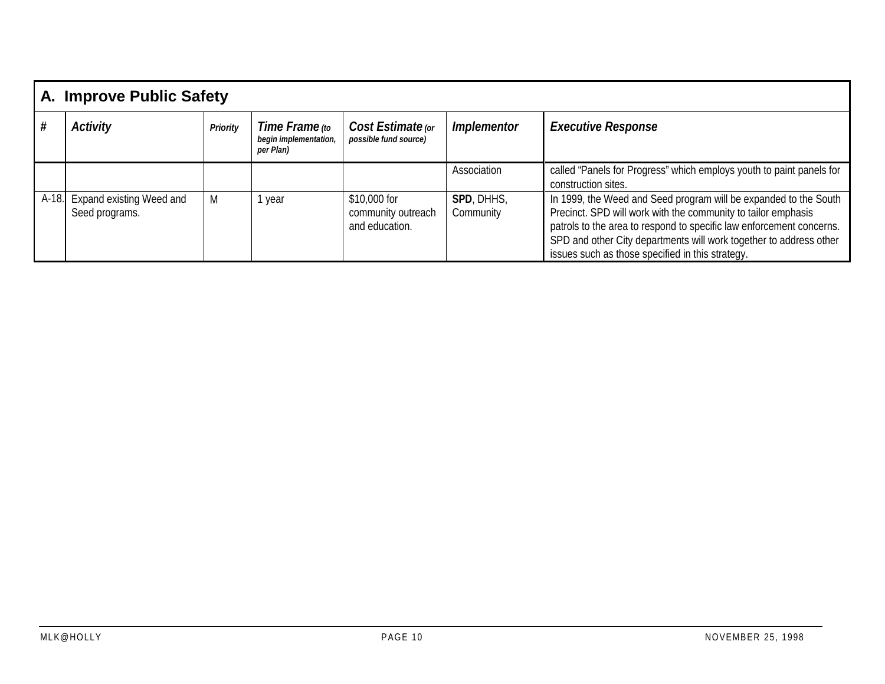|       | A. Improve Public Safety                   |                 |                                                      |                                                      |                           |                                                                                                                                                                                                                                                                                                                                     |  |  |  |  |
|-------|--------------------------------------------|-----------------|------------------------------------------------------|------------------------------------------------------|---------------------------|-------------------------------------------------------------------------------------------------------------------------------------------------------------------------------------------------------------------------------------------------------------------------------------------------------------------------------------|--|--|--|--|
|       | <b>Activity</b>                            | <b>Priority</b> | Time Frame (to<br>begin implementation,<br>per Plan) | Cost Estimate (or<br>possible fund source)           | <i><b>Implementor</b></i> | <b>Executive Response</b>                                                                                                                                                                                                                                                                                                           |  |  |  |  |
|       |                                            |                 |                                                      |                                                      | Association               | called "Panels for Progress" which employs youth to paint panels for<br>construction sites.                                                                                                                                                                                                                                         |  |  |  |  |
| A-18. | Expand existing Weed and<br>Seed programs. | M               | year                                                 | \$10,000 for<br>community outreach<br>and education. | SPD, DHHS,<br>Community   | In 1999, the Weed and Seed program will be expanded to the South<br>Precinct. SPD will work with the community to tailor emphasis<br>patrols to the area to respond to specific law enforcement concerns.<br>SPD and other City departments will work together to address other<br>issues such as those specified in this strategy. |  |  |  |  |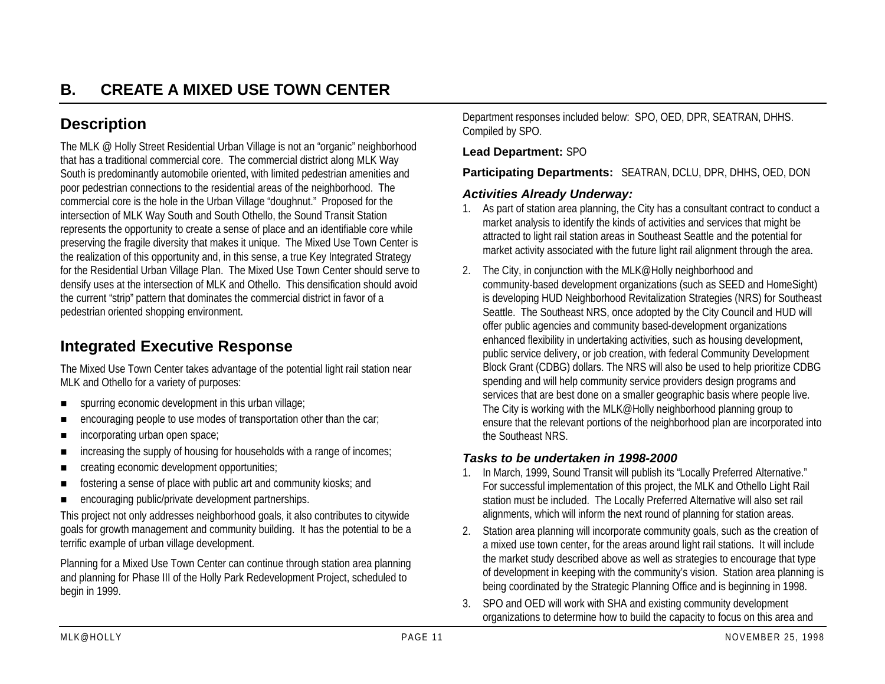## **Description**

The MLK @ Holly Street Residential Urban Village is not an "organic" neighborhood that has a traditional commercial core. The commercial district along MLK Way South is predominantly automobile oriented, with limited pedestrian amenities and poor pedestrian connections to the residential areas of the neighborhood. The commercial core is the hole in the Urban Village "doughnut." Proposed for the intersection of MLK Way South and South Othello, the Sound Transit Station represents the opportunity to create a sense of place and an identifiable core while preserving the fragile diversity that makes it unique. The Mixed Use Town Center is the realization of this opportunity and, in this sense, a true Key Integrated Strategy for the Residential Urban Village Plan. The Mixed Use Town Center should serve to densify uses at the intersection of MLK and Othello. This densification should avoid the current "strip" pattern that dominates the commercial district in favor of a pedestrian oriented shopping environment.

## **Integrated Executive Response**

The Mixed Use Town Center takes advantage of the potential light rail station near MLK and Othello for a variety of purposes:

- !spurring economic development in this urban village;
- encouraging people to use modes of transportation other than the car;
- **.** incorporating urban open space;
- . increasing the supply of housing for households with a range of incomes;
- creating economic development opportunities;
- fostering a sense of place with public art and community kiosks; and
- !encouraging public/private development partnerships.

This project not only addresses neighborhood goals, it also contributes to citywide goals for growth management and community building. It has the potential to be a terrific example of urban village development.

Planning for a Mixed Use Town Center can continue through station area planning and planning for Phase III of the Holly Park Redevelopment Project, scheduled to begin in 1999.

Department responses included below: SPO, OED, DPR, SEATRAN, DHHS. Compiled by SPO.

#### **Lead Department:** SPO

**Participating Departments:** SEATRAN, DCLU, DPR, DHHS, OED, DON

#### *Activities Already Underway:*

- 1. As part of station area planning, the City has a consultant contract to conduct a market analysis to identify the kinds of activities and services that might be attracted to light rail station areas in Southeast Seattle and the potential for market activity associated with the future light rail alignment through the area.
- 2. The City, in conjunction with the MLK@Holly neighborhood and community-based development organizations (such as SEED and HomeSight) is developing HUD Neighborhood Revitalization Strategies (NRS) for Southeast Seattle. The Southeast NRS, once adopted by the City Council and HUD will offer public agencies and community based-development organizations enhanced flexibility in undertaking activities, such as housing development, public service delivery, or job creation, with federal Community Development Block Grant (CDBG) dollars. The NRS will also be used to help prioritize CDBG spending and will help community service providers design programs and services that are best done on a smaller geographic basis where people live. The City is working with the MLK@Holly neighborhood planning group to ensure that the relevant portions of the neighborhood plan are incorporated into the Southeast NRS.

#### *Tasks to be undertaken in 1998-2000*

- 1. In March, 1999, Sound Transit will publish its "Locally Preferred Alternative." For successful implementation of this project, the MLK and Othello Light Rail station must be included. The Locally Preferred Alternative will also set rail alignments, which will inform the next round of planning for station areas.
- 2. Station area planning will incorporate community goals, such as the creation of a mixed use town center, for the areas around light rail stations. It will include the market study described above as well as strategies to encourage that type of development in keeping with the community's vision. Station area planning is being coordinated by the Strategic Planning Office and is beginning in 1998.
- 3. SPO and OED will work with SHA and existing community development organizations to determine how to build the capacity to focus on this area and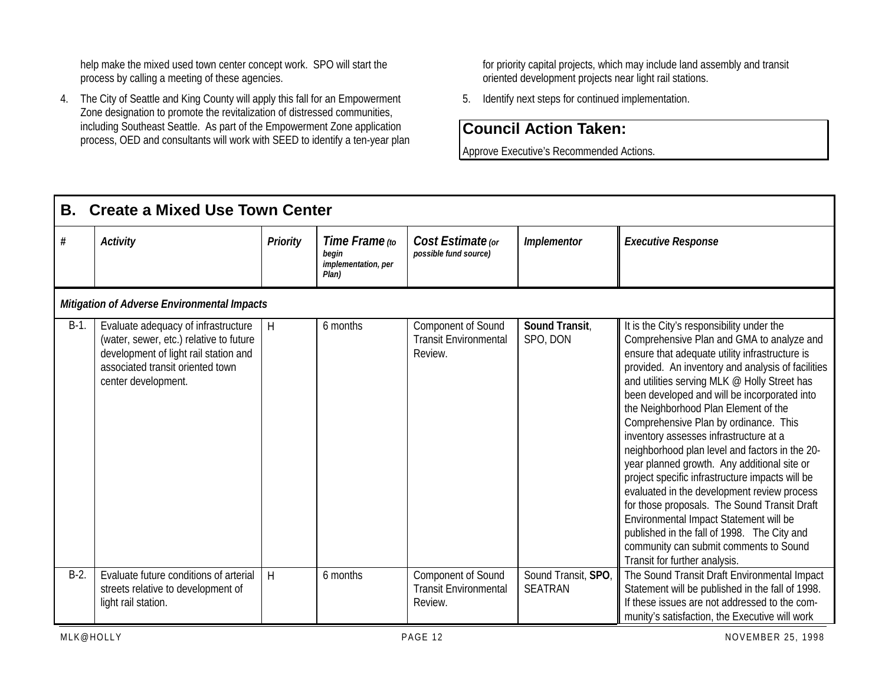help make the mixed used town center concept work. SPO will start the process by calling a meeting of these agencies.

4. The City of Seattle and King County will apply this fall for an Empowerment Zone designation to promote the revitalization of distressed communities, including Southeast Seattle. As part of the Empowerment Zone application process, OED and consultants will work with SEED to identify a ten-year plan for priority capital projects, which may include land assembly and transit oriented development projects near light rail stations.

5. Identify next steps for continued implementation.

## **Council Action Taken:**

Approve Executive's Recommended Actions.

| В.      | <b>Create a Mixed Use Town Center</b>                                                                                                                                              |                 |                                                         |                                                                      |                                       |                                                                                                                                                                                                                                                                                                                                                                                                                                                                                                                                                                                                                                                                                                                                                                                                                                                 |  |  |  |  |
|---------|------------------------------------------------------------------------------------------------------------------------------------------------------------------------------------|-----------------|---------------------------------------------------------|----------------------------------------------------------------------|---------------------------------------|-------------------------------------------------------------------------------------------------------------------------------------------------------------------------------------------------------------------------------------------------------------------------------------------------------------------------------------------------------------------------------------------------------------------------------------------------------------------------------------------------------------------------------------------------------------------------------------------------------------------------------------------------------------------------------------------------------------------------------------------------------------------------------------------------------------------------------------------------|--|--|--|--|
| #       | <b>Activity</b>                                                                                                                                                                    | <b>Priority</b> | Time Frame (to<br>begin<br>implementation, per<br>Plan) | Cost Estimate (or<br>possible fund source)                           | <b>Implementor</b>                    | <b>Executive Response</b>                                                                                                                                                                                                                                                                                                                                                                                                                                                                                                                                                                                                                                                                                                                                                                                                                       |  |  |  |  |
|         | Mitigation of Adverse Environmental Impacts                                                                                                                                        |                 |                                                         |                                                                      |                                       |                                                                                                                                                                                                                                                                                                                                                                                                                                                                                                                                                                                                                                                                                                                                                                                                                                                 |  |  |  |  |
| $B-1$ . | Evaluate adequacy of infrastructure<br>(water, sewer, etc.) relative to future<br>development of light rail station and<br>associated transit oriented town<br>center development. | Н               | 6 months                                                | <b>Component of Sound</b><br><b>Transit Environmental</b><br>Review. | Sound Transit,<br>SPO, DON            | It is the City's responsibility under the<br>Comprehensive Plan and GMA to analyze and<br>ensure that adequate utility infrastructure is<br>provided. An inventory and analysis of facilities<br>and utilities serving MLK @ Holly Street has<br>been developed and will be incorporated into<br>the Neighborhood Plan Element of the<br>Comprehensive Plan by ordinance. This<br>inventory assesses infrastructure at a<br>neighborhood plan level and factors in the 20-<br>year planned growth. Any additional site or<br>project specific infrastructure impacts will be<br>evaluated in the development review process<br>for those proposals. The Sound Transit Draft<br>Environmental Impact Statement will be<br>published in the fall of 1998. The City and<br>community can submit comments to Sound<br>Transit for further analysis. |  |  |  |  |
| $B-2$ . | Evaluate future conditions of arterial<br>streets relative to development of<br>light rail station.                                                                                | H               | 6 months                                                | Component of Sound<br><b>Transit Environmental</b><br>Review.        | Sound Transit, SPO,<br><b>SEATRAN</b> | The Sound Transit Draft Environmental Impact<br>Statement will be published in the fall of 1998.<br>If these issues are not addressed to the com-                                                                                                                                                                                                                                                                                                                                                                                                                                                                                                                                                                                                                                                                                               |  |  |  |  |
|         |                                                                                                                                                                                    |                 |                                                         |                                                                      |                                       | munity's satisfaction, the Executive will work                                                                                                                                                                                                                                                                                                                                                                                                                                                                                                                                                                                                                                                                                                                                                                                                  |  |  |  |  |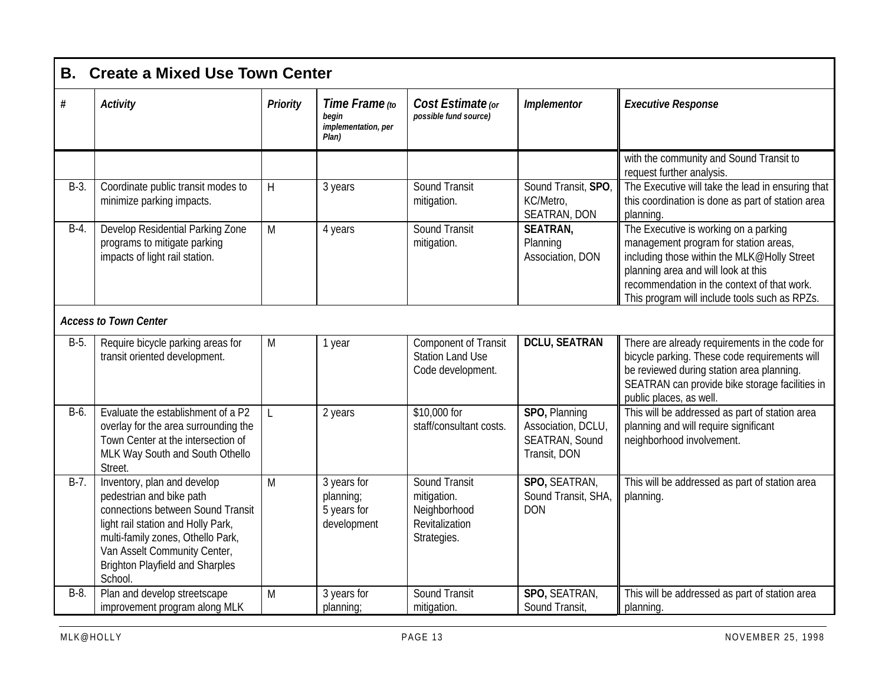| В.      | <b>Create a Mixed Use Town Center</b>                                                                                                                                                                                                                        |                 |                                                         |                                                                                      |                                                                             |                                                                                                                                                                                                                                                                      |  |  |  |  |
|---------|--------------------------------------------------------------------------------------------------------------------------------------------------------------------------------------------------------------------------------------------------------------|-----------------|---------------------------------------------------------|--------------------------------------------------------------------------------------|-----------------------------------------------------------------------------|----------------------------------------------------------------------------------------------------------------------------------------------------------------------------------------------------------------------------------------------------------------------|--|--|--|--|
| #       | <b>Activity</b>                                                                                                                                                                                                                                              | <b>Priority</b> | Time Frame (to<br>begin<br>implementation, per<br>Pian) | Cost Estimate (or<br>possible fund source)                                           | <b>Implementor</b>                                                          | <b>Executive Response</b>                                                                                                                                                                                                                                            |  |  |  |  |
|         |                                                                                                                                                                                                                                                              |                 |                                                         |                                                                                      |                                                                             | with the community and Sound Transit to<br>request further analysis.                                                                                                                                                                                                 |  |  |  |  |
| $B-3$ . | Coordinate public transit modes to<br>minimize parking impacts.                                                                                                                                                                                              | H               | 3 years                                                 | <b>Sound Transit</b><br>mitigation.                                                  | Sound Transit, SPO,<br>KC/Metro,<br>SEATRAN, DON                            | The Executive will take the lead in ensuring that<br>this coordination is done as part of station area<br>planning.                                                                                                                                                  |  |  |  |  |
| $B-4.$  | Develop Residential Parking Zone<br>programs to mitigate parking<br>impacts of light rail station.                                                                                                                                                           | M               | 4 years                                                 | <b>Sound Transit</b><br>mitigation.                                                  | <b>SEATRAN,</b><br>Planning<br>Association, DON                             | The Executive is working on a parking<br>management program for station areas,<br>including those within the MLK@Holly Street<br>planning area and will look at this<br>recommendation in the context of that work.<br>This program will include tools such as RPZs. |  |  |  |  |
|         | <b>Access to Town Center</b>                                                                                                                                                                                                                                 |                 |                                                         |                                                                                      |                                                                             |                                                                                                                                                                                                                                                                      |  |  |  |  |
| B-5.    | Require bicycle parking areas for<br>transit oriented development.                                                                                                                                                                                           | M               | 1 year                                                  | <b>Component of Transit</b><br><b>Station Land Use</b><br>Code development.          | <b>DCLU, SEATRAN</b>                                                        | There are already requirements in the code for<br>bicycle parking. These code requirements will<br>be reviewed during station area planning.<br>SEATRAN can provide bike storage facilities in<br>public places, as well.                                            |  |  |  |  |
| B-6.    | Evaluate the establishment of a P2<br>overlay for the area surrounding the<br>Town Center at the intersection of<br>MLK Way South and South Othello<br>Street.                                                                                               | L               | 2 years                                                 | \$10,000 for<br>staff/consultant costs.                                              | SPO, Planning<br>Association, DCLU<br><b>SEATRAN, Sound</b><br>Transit, DON | This will be addressed as part of station area<br>planning and will require significant<br>neighborhood involvement.                                                                                                                                                 |  |  |  |  |
| $B-7.$  | Inventory, plan and develop<br>pedestrian and bike path<br>connections between Sound Transit<br>light rail station and Holly Park,<br>multi-family zones, Othello Park,<br>Van Asselt Community Center,<br><b>Brighton Playfield and Sharples</b><br>School. | M               | 3 years for<br>planning;<br>5 years for<br>development  | <b>Sound Transit</b><br>mitigation.<br>Neighborhood<br>Revitalization<br>Strategies. | SPO, SEATRAN,<br>Sound Transit, SHA,<br><b>DON</b>                          | This will be addressed as part of station area<br>planning.                                                                                                                                                                                                          |  |  |  |  |
| $B-8$ . | Plan and develop streetscape<br>improvement program along MLK                                                                                                                                                                                                | M               | 3 years for<br>planning;                                | <b>Sound Transit</b><br>mitigation.                                                  | SPO, SEATRAN,<br>Sound Transit,                                             | This will be addressed as part of station area<br>planning.                                                                                                                                                                                                          |  |  |  |  |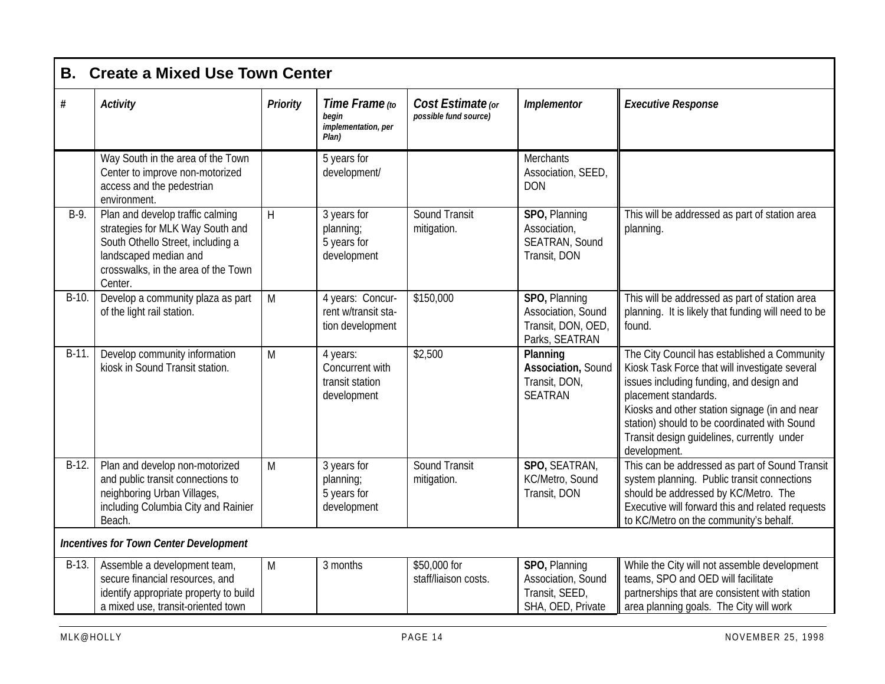| <b>B.</b> | <b>Create a Mixed Use Town Center</b>                                                                                                                                                |                 |                                                               |                                            |                                                                             |                                                                                                                                                                                                                                                                                                                                   |  |  |  |
|-----------|--------------------------------------------------------------------------------------------------------------------------------------------------------------------------------------|-----------------|---------------------------------------------------------------|--------------------------------------------|-----------------------------------------------------------------------------|-----------------------------------------------------------------------------------------------------------------------------------------------------------------------------------------------------------------------------------------------------------------------------------------------------------------------------------|--|--|--|
| #         | <b>Activity</b>                                                                                                                                                                      | <b>Priority</b> | Time Frame (to<br>begin<br>implementation, per<br>Plan)       | Cost Estimate (or<br>possible fund source) | Implementor                                                                 | <b>Executive Response</b>                                                                                                                                                                                                                                                                                                         |  |  |  |
|           | Way South in the area of the Town<br>Center to improve non-motorized<br>access and the pedestrian<br>environment.                                                                    |                 | 5 years for<br>development/                                   |                                            | <b>Merchants</b><br>Association, SEED,<br><b>DON</b>                        |                                                                                                                                                                                                                                                                                                                                   |  |  |  |
| $B-9.$    | Plan and develop traffic calming<br>strategies for MLK Way South and<br>South Othello Street, including a<br>landscaped median and<br>crosswalks, in the area of the Town<br>Center. | H               | 3 years for<br>planning;<br>5 years for<br>development        | <b>Sound Transit</b><br>mitigation.        | SPO, Planning<br>Association,<br>SEATRAN, Sound<br>Transit, DON             | This will be addressed as part of station area<br>planning.                                                                                                                                                                                                                                                                       |  |  |  |
| $B-10.$   | Develop a community plaza as part<br>of the light rail station.                                                                                                                      | M               | 4 years: Concur-<br>rent w/transit sta-<br>tion development   | \$150,000                                  | SPO, Planning<br>Association, Sound<br>Transit, DON, OED,<br>Parks, SEATRAN | This will be addressed as part of station area<br>planning. It is likely that funding will need to be<br>found.                                                                                                                                                                                                                   |  |  |  |
| $B-11.$   | Develop community information<br>kiosk in Sound Transit station.                                                                                                                     | M               | 4 years:<br>Concurrent with<br>transit station<br>development | \$2,500                                    | Planning<br>Association, Sound<br>Transit, DON,<br><b>SEATRAN</b>           | The City Council has established a Community<br>Kiosk Task Force that will investigate several<br>issues including funding, and design and<br>placement standards.<br>Kiosks and other station signage (in and near<br>station) should to be coordinated with Sound<br>Transit design guidelines, currently under<br>development. |  |  |  |
| $B-12.$   | Plan and develop non-motorized<br>and public transit connections to<br>neighboring Urban Villages,<br>including Columbia City and Rainier<br>Beach.                                  | M               | 3 years for<br>planning;<br>5 years for<br>development        | Sound Transit<br>mitigation.               | SPO, SEATRAN,<br>KC/Metro, Sound<br>Transit, DON                            | This can be addressed as part of Sound Transit<br>system planning. Public transit connections<br>should be addressed by KC/Metro. The<br>Executive will forward this and related requests<br>to KC/Metro on the community's behalf.                                                                                               |  |  |  |
|           | <b>Incentives for Town Center Development</b>                                                                                                                                        |                 |                                                               |                                            |                                                                             |                                                                                                                                                                                                                                                                                                                                   |  |  |  |
| $B-13.$   | Assemble a development team,<br>secure financial resources, and<br>identify appropriate property to build<br>a mixed use, transit-oriented town                                      | M               | 3 months                                                      | \$50,000 for<br>staff/liaison costs.       | SPO, Planning<br>Association, Sound<br>Transit, SEED,<br>SHA, OED, Private  | While the City will not assemble development<br>teams, SPO and OED will facilitate<br>partnerships that are consistent with station<br>area planning goals. The City will work                                                                                                                                                    |  |  |  |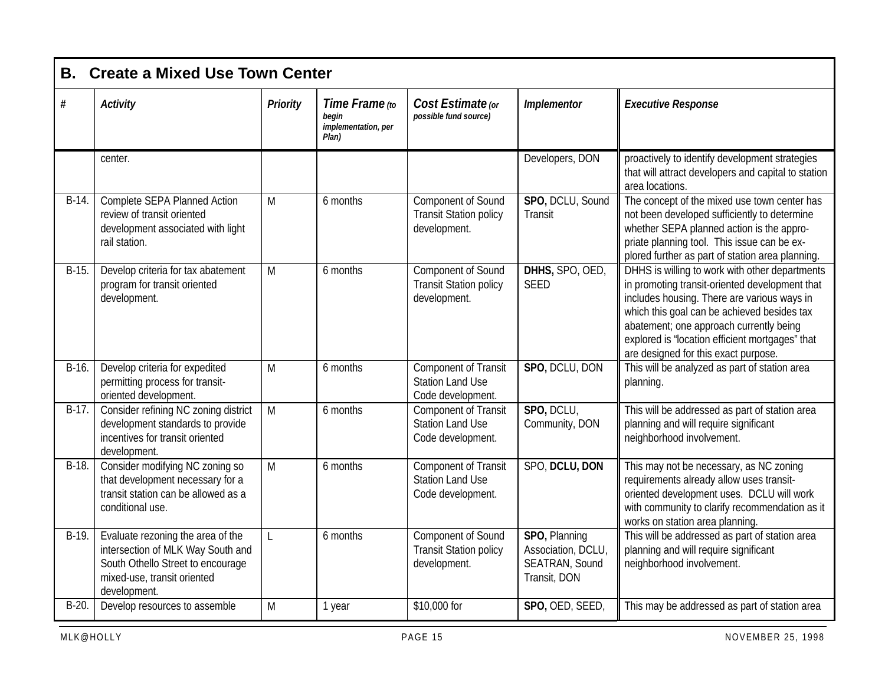| В.      | <b>Create a Mixed Use Town Center</b>                                                                                                                      |                 |                                                         |                                                                             |                                                                       |                                                                                                                                                                                                                                                                                                                                      |  |  |  |  |
|---------|------------------------------------------------------------------------------------------------------------------------------------------------------------|-----------------|---------------------------------------------------------|-----------------------------------------------------------------------------|-----------------------------------------------------------------------|--------------------------------------------------------------------------------------------------------------------------------------------------------------------------------------------------------------------------------------------------------------------------------------------------------------------------------------|--|--|--|--|
| $\#$    | <b>Activity</b>                                                                                                                                            | <b>Priority</b> | Time Frame (to<br>begin<br>implementation, per<br>Plan) | Cost Estimate (or<br>possible fund source)                                  | <b>Implementor</b>                                                    | <b>Executive Response</b>                                                                                                                                                                                                                                                                                                            |  |  |  |  |
|         | center.                                                                                                                                                    |                 |                                                         |                                                                             | Developers, DON                                                       | proactively to identify development strategies<br>that will attract developers and capital to station<br>area locations.                                                                                                                                                                                                             |  |  |  |  |
| $B-14.$ | Complete SEPA Planned Action<br>review of transit oriented<br>development associated with light<br>rail station.                                           | M               | 6 months                                                | Component of Sound<br><b>Transit Station policy</b><br>development.         | SPO, DCLU, Sound<br>Transit                                           | The concept of the mixed use town center has<br>not been developed sufficiently to determine<br>whether SEPA planned action is the appro-<br>priate planning tool. This issue can be ex-<br>plored further as part of station area planning.                                                                                         |  |  |  |  |
| B-15.   | Develop criteria for tax abatement<br>program for transit oriented<br>development.                                                                         | M               | 6 months                                                | Component of Sound<br><b>Transit Station policy</b><br>development.         | DHHS, SPO, OED,<br><b>SEED</b>                                        | DHHS is willing to work with other departments<br>in promoting transit-oriented development that<br>includes housing. There are various ways in<br>which this goal can be achieved besides tax<br>abatement; one approach currently being<br>explored is "location efficient mortgages" that<br>are designed for this exact purpose. |  |  |  |  |
| $B-16.$ | Develop criteria for expedited<br>permitting process for transit-<br>oriented development.                                                                 | M               | 6 months                                                | <b>Component of Transit</b><br><b>Station Land Use</b><br>Code development. | SPO, DCLU, DON                                                        | This will be analyzed as part of station area<br>planning.                                                                                                                                                                                                                                                                           |  |  |  |  |
| $B-17.$ | Consider refining NC zoning district<br>development standards to provide<br>incentives for transit oriented<br>development.                                | M               | 6 months                                                | <b>Component of Transit</b><br><b>Station Land Use</b><br>Code development. | SPO, DCLU,<br>Community, DON                                          | This will be addressed as part of station area<br>planning and will require significant<br>neighborhood involvement.                                                                                                                                                                                                                 |  |  |  |  |
| $B-18.$ | Consider modifying NC zoning so<br>that development necessary for a<br>transit station can be allowed as a<br>conditional use.                             | M               | 6 months                                                | <b>Component of Transit</b><br><b>Station Land Use</b><br>Code development. | SPO, DCLU, DON                                                        | This may not be necessary, as NC zoning<br>requirements already allow uses transit-<br>oriented development uses. DCLU will work<br>with community to clarify recommendation as it<br>works on station area planning.                                                                                                                |  |  |  |  |
| $B-19.$ | Evaluate rezoning the area of the<br>intersection of MLK Way South and<br>South Othello Street to encourage<br>mixed-use, transit oriented<br>development. | L               | 6 months                                                | Component of Sound<br><b>Transit Station policy</b><br>development.         | SPO, Planning<br>Association, DCLU,<br>SEATRAN, Sound<br>Transit, DON | This will be addressed as part of station area<br>planning and will require significant<br>neighborhood involvement.                                                                                                                                                                                                                 |  |  |  |  |
| $B-20.$ | Develop resources to assemble                                                                                                                              | M               | 1 year                                                  | \$10,000 for                                                                | SPO, OED, SEED,                                                       | This may be addressed as part of station area                                                                                                                                                                                                                                                                                        |  |  |  |  |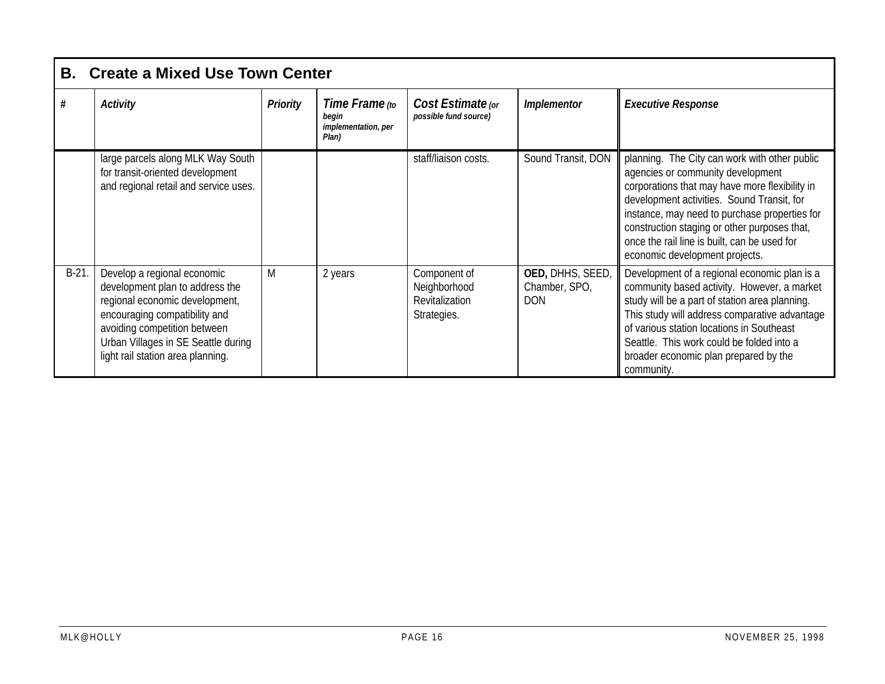|         | <b>B.</b> Create a Mixed Use Town Center                                                                                                                                                                                                      |                 |                                                         |                                                               |                                                 |                                                                                                                                                                                                                                                                                                                                                                       |  |  |  |
|---------|-----------------------------------------------------------------------------------------------------------------------------------------------------------------------------------------------------------------------------------------------|-----------------|---------------------------------------------------------|---------------------------------------------------------------|-------------------------------------------------|-----------------------------------------------------------------------------------------------------------------------------------------------------------------------------------------------------------------------------------------------------------------------------------------------------------------------------------------------------------------------|--|--|--|
| #       | <b>Activity</b>                                                                                                                                                                                                                               | <b>Priority</b> | Time Frame (to<br>begin<br>implementation, per<br>Plan) | Cost Estimate (or<br>possible fund source)                    | <b>Implementor</b>                              | <b>Executive Response</b>                                                                                                                                                                                                                                                                                                                                             |  |  |  |
|         | large parcels along MLK Way South<br>for transit-oriented development<br>and regional retail and service uses.                                                                                                                                |                 |                                                         | staff/liaison costs.                                          | Sound Transit, DON                              | planning. The City can work with other public<br>agencies or community development<br>corporations that may have more flexibility in<br>development activities. Sound Transit, for<br>instance, may need to purchase properties for<br>construction staging or other purposes that,<br>once the rail line is built, can be used for<br>economic development projects. |  |  |  |
| $B-21.$ | Develop a regional economic<br>development plan to address the<br>regional economic development,<br>encouraging compatibility and<br>avoiding competition between<br>Urban Villages in SE Seattle during<br>light rail station area planning. | M               | 2 years                                                 | Component of<br>Neighborhood<br>Revitalization<br>Strategies. | OED, DHHS, SEED,<br>Chamber, SPO,<br><b>DON</b> | Development of a regional economic plan is a<br>community based activity. However, a market<br>study will be a part of station area planning.<br>This study will address comparative advantage<br>of various station locations in Southeast<br>Seattle. This work could be folded into a<br>broader economic plan prepared by the<br>community.                       |  |  |  |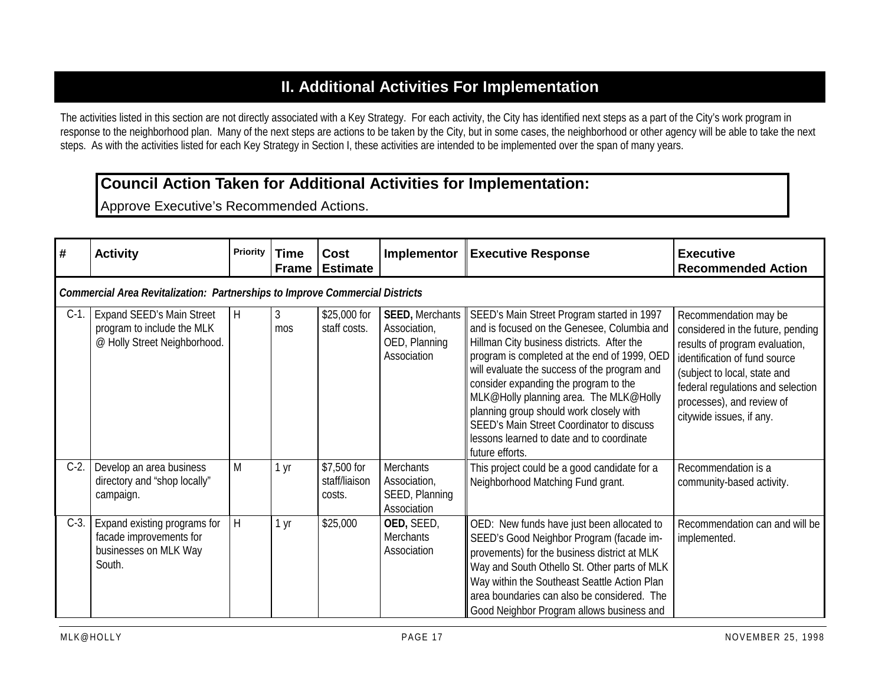## **II. Additional Activities For Implementation**

The activities listed in this section are not directly associated with a Key Strategy. For each activity, the City has identified next steps as a part of the City's work program in response to the neighborhood plan. Many of the next steps are actions to be taken by the City, but in some cases, the neighborhood or other agency will be able to take the next steps. As with the activities listed for each Key Strategy in Section I, these activities are intended to be implemented over the span of many years.

#### **Council Action Taken for Additional Activities for Implementation:**

Approve Executive's Recommended Actions.

| #       | <b>Activity</b>                                                                                | Priority | <b>Time</b><br><b>Frame</b> | Cost<br><b>Estimate</b>                | Implementor                                                       | <b>Executive Response</b>                                                                                                                                                                                                                                                                                                                                                                                                                                                          | <b>Executive</b><br><b>Recommended Action</b>                                                                                                                                                                                                               |  |  |  |  |  |
|---------|------------------------------------------------------------------------------------------------|----------|-----------------------------|----------------------------------------|-------------------------------------------------------------------|------------------------------------------------------------------------------------------------------------------------------------------------------------------------------------------------------------------------------------------------------------------------------------------------------------------------------------------------------------------------------------------------------------------------------------------------------------------------------------|-------------------------------------------------------------------------------------------------------------------------------------------------------------------------------------------------------------------------------------------------------------|--|--|--|--|--|
|         | <b>Commercial Area Revitalization: Partnerships to Improve Commercial Districts</b>            |          |                             |                                        |                                                                   |                                                                                                                                                                                                                                                                                                                                                                                                                                                                                    |                                                                                                                                                                                                                                                             |  |  |  |  |  |
| $C-1$ . | <b>Expand SEED's Main Street</b><br>program to include the MLK<br>@ Holly Street Neighborhood. | H        | $\mathfrak{Z}$<br>mos       | \$25,000 for<br>staff costs.           | SEED, Merchants<br>Association,<br>OED, Planning<br>Association   | SEED's Main Street Program started in 1997<br>and is focused on the Genesee, Columbia and<br>Hillman City business districts. After the<br>program is completed at the end of 1999, OED<br>will evaluate the success of the program and<br>consider expanding the program to the<br>MLK@Holly planning area. The MLK@Holly<br>planning group should work closely with<br>SEED's Main Street Coordinator to discuss<br>lessons learned to date and to coordinate<br>future efforts. | Recommendation may be<br>considered in the future, pending<br>results of program evaluation,<br>identification of fund source<br>(subject to local, state and<br>federal regulations and selection<br>processes), and review of<br>citywide issues, if any. |  |  |  |  |  |
| $C-2$ . | Develop an area business<br>directory and "shop locally"<br>campaign.                          | M        | 1 yr                        | \$7,500 for<br>staff/liaison<br>costs. | <b>Merchants</b><br>Association,<br>SEED, Planning<br>Association | This project could be a good candidate for a<br>Neighborhood Matching Fund grant.                                                                                                                                                                                                                                                                                                                                                                                                  | Recommendation is a<br>community-based activity.                                                                                                                                                                                                            |  |  |  |  |  |
| $C-3$ . | Expand existing programs for<br>facade improvements for<br>businesses on MLK Way<br>South.     | $\sf H$  | 1 yr                        | \$25,000                               | OED, SEED,<br><b>Merchants</b><br>Association                     | OED: New funds have just been allocated to<br>SEED's Good Neighbor Program (facade im-<br>provements) for the business district at MLK<br>Way and South Othello St. Other parts of MLK<br>Way within the Southeast Seattle Action Plan<br>area boundaries can also be considered. The<br>Good Neighbor Program allows business and                                                                                                                                                 | Recommendation can and will be<br>implemented.                                                                                                                                                                                                              |  |  |  |  |  |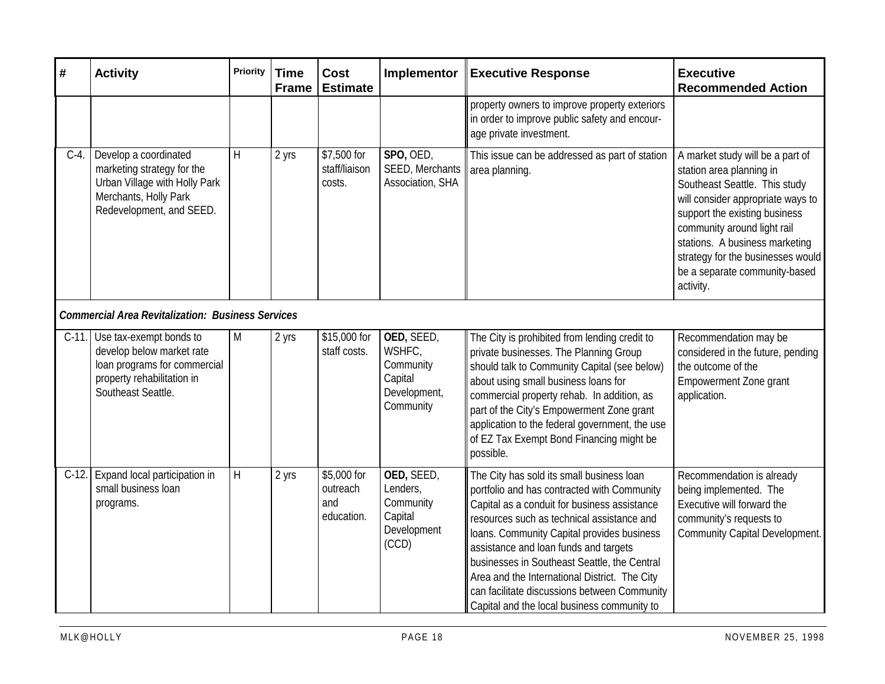| #        | <b>Activity</b>                                                                                                                           | <b>Priority</b> | <b>Time</b><br><b>Frame</b> | <b>Cost</b><br><b>Estimate</b>               | Implementor                                                               | <b>Executive Response</b>                                                                                                                                                                                                                                                                                                                                                                                                                                                     | <b>Executive</b><br><b>Recommended Action</b>                                                                                                                                                                                                                                                                           |
|----------|-------------------------------------------------------------------------------------------------------------------------------------------|-----------------|-----------------------------|----------------------------------------------|---------------------------------------------------------------------------|-------------------------------------------------------------------------------------------------------------------------------------------------------------------------------------------------------------------------------------------------------------------------------------------------------------------------------------------------------------------------------------------------------------------------------------------------------------------------------|-------------------------------------------------------------------------------------------------------------------------------------------------------------------------------------------------------------------------------------------------------------------------------------------------------------------------|
|          |                                                                                                                                           |                 |                             |                                              |                                                                           | property owners to improve property exteriors<br>in order to improve public safety and encour-<br>age private investment.                                                                                                                                                                                                                                                                                                                                                     |                                                                                                                                                                                                                                                                                                                         |
| $C-4$ .  | Develop a coordinated<br>marketing strategy for the<br>Urban Village with Holly Park<br>Merchants, Holly Park<br>Redevelopment, and SEED. | $\sf H$         | 2 yrs                       | \$7,500 for<br>staff/liaison<br>costs.       | SPO, OED,<br>SEED, Merchants<br>Association, SHA                          | This issue can be addressed as part of station<br>area planning.                                                                                                                                                                                                                                                                                                                                                                                                              | A market study will be a part of<br>station area planning in<br>Southeast Seattle. This study<br>will consider appropriate ways to<br>support the existing business<br>community around light rail<br>stations. A business marketing<br>strategy for the businesses would<br>be a separate community-based<br>activity. |
|          | <b>Commercial Area Revitalization: Business Services</b>                                                                                  |                 |                             |                                              |                                                                           |                                                                                                                                                                                                                                                                                                                                                                                                                                                                               |                                                                                                                                                                                                                                                                                                                         |
| $C-11$ . | Use tax-exempt bonds to<br>develop below market rate<br>loan programs for commercial<br>property rehabilitation in<br>Southeast Seattle.  | M               | 2 yrs                       | \$15,000 for<br>staff costs.                 | OED, SEED,<br>WSHFC,<br>Community<br>Capital<br>Development,<br>Community | The City is prohibited from lending credit to<br>private businesses. The Planning Group<br>should talk to Community Capital (see below)<br>about using small business loans for<br>commercial property rehab. In addition, as<br>part of the City's Empowerment Zone grant<br>application to the federal government, the use<br>of EZ Tax Exempt Bond Financing might be<br>possible.                                                                                         | Recommendation may be<br>considered in the future, pending<br>the outcome of the<br>Empowerment Zone grant<br>application.                                                                                                                                                                                              |
| $C-12.$  | Expand local participation in<br>small business loan<br>programs.                                                                         | $\sf H$         | 2 yrs                       | \$5,000 for<br>outreach<br>and<br>education. | OED, SEED,<br>Lenders,<br>Community<br>Capital<br>Development<br>(CCD)    | The City has sold its small business loan<br>portfolio and has contracted with Community<br>Capital as a conduit for business assistance<br>resources such as technical assistance and<br>loans. Community Capital provides business<br>assistance and loan funds and targets<br>businesses in Southeast Seattle, the Central<br>Area and the International District. The City<br>can facilitate discussions between Community<br>Capital and the local business community to | Recommendation is already<br>being implemented. The<br>Executive will forward the<br>community's requests to<br><b>Community Capital Development.</b>                                                                                                                                                                   |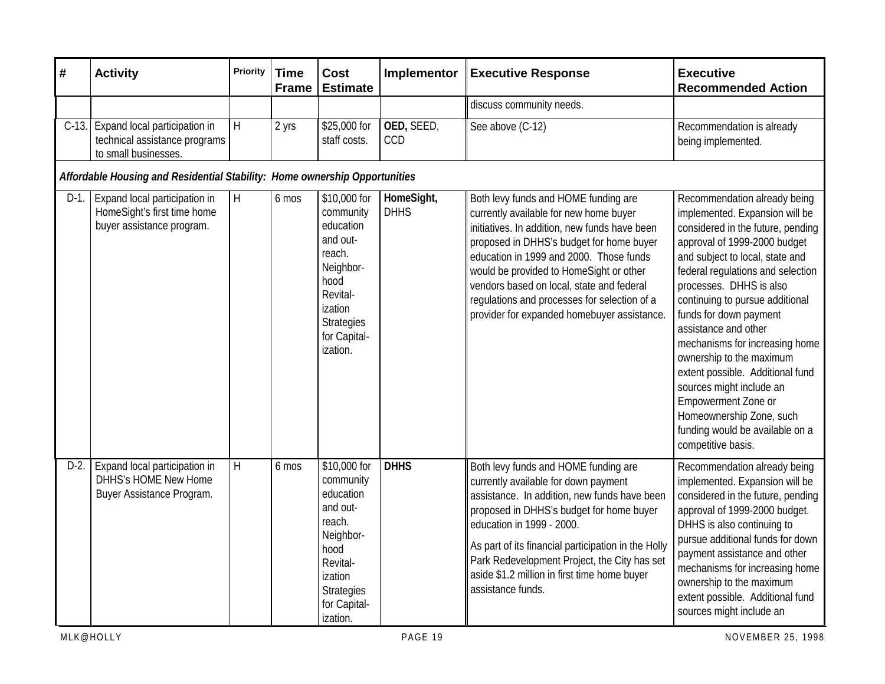| $\pmb{\#}$ | <b>Activity</b>                                                                           | <b>Priority</b> | <b>Time</b><br><b>Frame</b> | <b>Cost</b><br><b>Estimate</b>                                                                                                                            | Implementor               | <b>Executive Response</b>                                                                                                                                                                                                                                                                                                                                                                                     | <b>Executive</b><br><b>Recommended Action</b>                                                                                                                                                                                                                                                                                                                                                                                                                                                                                                                         |  |  |
|------------|-------------------------------------------------------------------------------------------|-----------------|-----------------------------|-----------------------------------------------------------------------------------------------------------------------------------------------------------|---------------------------|---------------------------------------------------------------------------------------------------------------------------------------------------------------------------------------------------------------------------------------------------------------------------------------------------------------------------------------------------------------------------------------------------------------|-----------------------------------------------------------------------------------------------------------------------------------------------------------------------------------------------------------------------------------------------------------------------------------------------------------------------------------------------------------------------------------------------------------------------------------------------------------------------------------------------------------------------------------------------------------------------|--|--|
|            |                                                                                           |                 |                             |                                                                                                                                                           |                           | discuss community needs.                                                                                                                                                                                                                                                                                                                                                                                      |                                                                                                                                                                                                                                                                                                                                                                                                                                                                                                                                                                       |  |  |
| $C-13.$    | Expand local participation in<br>technical assistance programs<br>to small businesses.    | H               | 2 yrs                       | \$25,000 for<br>staff costs.                                                                                                                              | OED, SEED,<br><b>CCD</b>  | See above (C-12)                                                                                                                                                                                                                                                                                                                                                                                              | Recommendation is already<br>being implemented.                                                                                                                                                                                                                                                                                                                                                                                                                                                                                                                       |  |  |
|            | Affordable Housing and Residential Stability: Home ownership Opportunities                |                 |                             |                                                                                                                                                           |                           |                                                                                                                                                                                                                                                                                                                                                                                                               |                                                                                                                                                                                                                                                                                                                                                                                                                                                                                                                                                                       |  |  |
| $D-1$ .    | Expand local participation in<br>HomeSight's first time home<br>buyer assistance program. | H               | 6 mos                       | \$10,000 for<br>community<br>education<br>and out-<br>reach.<br>Neighbor-<br>hood<br>Revital-<br>ization<br><b>Strategies</b><br>for Capital-<br>ization. | HomeSight,<br><b>DHHS</b> | Both levy funds and HOME funding are<br>currently available for new home buyer<br>initiatives. In addition, new funds have been<br>proposed in DHHS's budget for home buyer<br>education in 1999 and 2000. Those funds<br>would be provided to HomeSight or other<br>vendors based on local, state and federal<br>regulations and processes for selection of a<br>provider for expanded homebuyer assistance. | Recommendation already being<br>implemented. Expansion will be<br>considered in the future, pending<br>approval of 1999-2000 budget<br>and subject to local, state and<br>federal regulations and selection<br>processes. DHHS is also<br>continuing to pursue additional<br>funds for down payment<br>assistance and other<br>mechanisms for increasing home<br>ownership to the maximum<br>extent possible. Additional fund<br>sources might include an<br>Empowerment Zone or<br>Homeownership Zone, such<br>funding would be available on a<br>competitive basis. |  |  |
| $D-2$ .    | Expand local participation in<br>DHHS's HOME New Home<br>Buyer Assistance Program.        | H               | 6 mos                       | \$10,000 for<br>community<br>education<br>and out-<br>reach.<br>Neighbor-<br>hood<br>Revital-<br>ization<br><b>Strategies</b><br>for Capital-<br>ization. | <b>DHHS</b>               | Both levy funds and HOME funding are<br>currently available for down payment<br>assistance. In addition, new funds have been<br>proposed in DHHS's budget for home buyer<br>education in 1999 - 2000.<br>As part of its financial participation in the Holly<br>Park Redevelopment Project, the City has set<br>aside \$1.2 million in first time home buyer<br>assistance funds.                             | Recommendation already being<br>implemented. Expansion will be<br>considered in the future, pending<br>approval of 1999-2000 budget.<br>DHHS is also continuing to<br>pursue additional funds for down<br>payment assistance and other<br>mechanisms for increasing home<br>ownership to the maximum<br>extent possible. Additional fund<br>sources might include an                                                                                                                                                                                                  |  |  |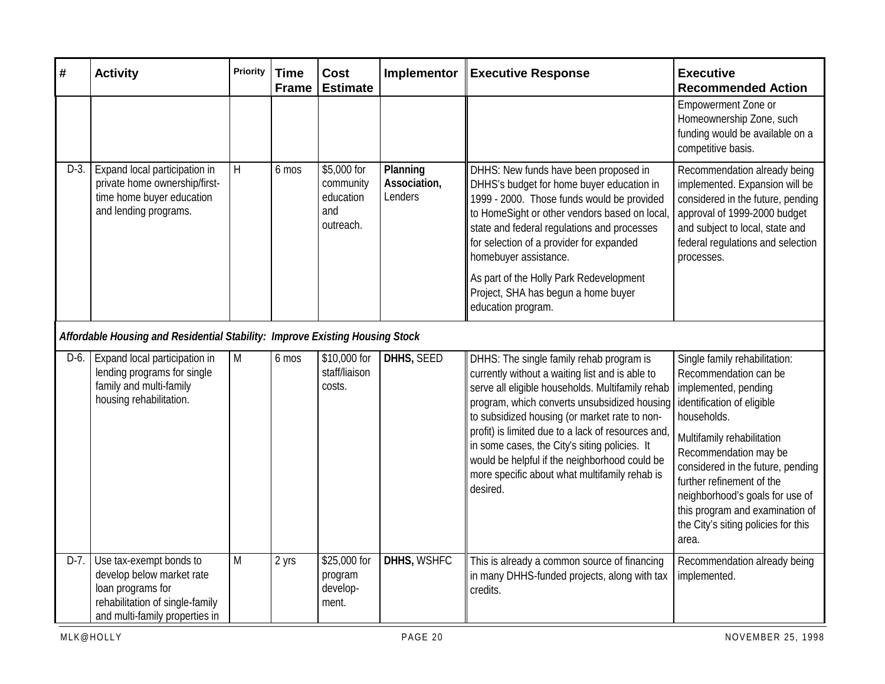| #       | <b>Activity</b>                                                                                                                                | Priority  | <b>Time</b><br><b>Frame</b> | <b>Cost</b><br><b>Estimate</b>                            | Implementor                         | <b>Executive Response</b>                                                                                                                                                                                                                                                                                                                                                                                                                                            | <b>Executive</b><br><b>Recommended Action</b>                                                                                                                                                                                                                                                                                                                              |  |
|---------|------------------------------------------------------------------------------------------------------------------------------------------------|-----------|-----------------------------|-----------------------------------------------------------|-------------------------------------|----------------------------------------------------------------------------------------------------------------------------------------------------------------------------------------------------------------------------------------------------------------------------------------------------------------------------------------------------------------------------------------------------------------------------------------------------------------------|----------------------------------------------------------------------------------------------------------------------------------------------------------------------------------------------------------------------------------------------------------------------------------------------------------------------------------------------------------------------------|--|
|         |                                                                                                                                                |           |                             |                                                           |                                     |                                                                                                                                                                                                                                                                                                                                                                                                                                                                      | Empowerment Zone or<br>Homeownership Zone, such<br>funding would be available on a<br>competitive basis.                                                                                                                                                                                                                                                                   |  |
| $D-3$ . | Expand local participation in<br>private home ownership/first-<br>time home buyer education<br>and lending programs.                           | H         | 6 mos                       | \$5,000 for<br>community<br>education<br>and<br>outreach. | Planning<br>Association,<br>Lenders | DHHS: New funds have been proposed in<br>DHHS's budget for home buyer education in<br>1999 - 2000. Those funds would be provided<br>to HomeSight or other vendors based on local,<br>state and federal regulations and processes<br>for selection of a provider for expanded<br>homebuyer assistance.                                                                                                                                                                | Recommendation already being<br>implemented. Expansion will be<br>considered in the future, pending<br>approval of 1999-2000 budget<br>and subject to local, state and<br>federal regulations and selection<br>processes.                                                                                                                                                  |  |
|         |                                                                                                                                                |           |                             |                                                           |                                     | As part of the Holly Park Redevelopment<br>Project, SHA has begun a home buyer<br>education program.                                                                                                                                                                                                                                                                                                                                                                 |                                                                                                                                                                                                                                                                                                                                                                            |  |
|         | Affordable Housing and Residential Stability: Improve Existing Housing Stock                                                                   |           |                             |                                                           |                                     |                                                                                                                                                                                                                                                                                                                                                                                                                                                                      |                                                                                                                                                                                                                                                                                                                                                                            |  |
| D-6.    | Expand local participation in<br>lending programs for single<br>family and multi-family<br>housing rehabilitation.                             | M         | 6 mos                       | \$10,000 for<br>staff/liaison<br>costs.                   | DHHS, SEED                          | DHHS: The single family rehab program is<br>currently without a waiting list and is able to<br>serve all eligible households. Multifamily rehab<br>program, which converts unsubsidized housing<br>to subsidized housing (or market rate to non-<br>profit) is limited due to a lack of resources and<br>in some cases, the City's siting policies. It<br>would be helpful if the neighborhood could be<br>more specific about what multifamily rehab is<br>desired. | Single family rehabilitation:<br>Recommendation can be<br>implemented, pending<br>identification of eligible<br>households.<br>Multifamily rehabilitation<br>Recommendation may be<br>considered in the future, pending<br>further refinement of the<br>neighborhood's goals for use of<br>this program and examination of<br>the City's siting policies for this<br>area. |  |
| $D-7.$  | Use tax-exempt bonds to<br>develop below market rate<br>loan programs for<br>rehabilitation of single-family<br>and multi-family properties in | ${\sf M}$ | 2 yrs                       | \$25,000 for<br>program<br>develop-<br>ment.              | DHHS, WSHFC                         | This is already a common source of financing<br>in many DHHS-funded projects, along with tax<br>credits.                                                                                                                                                                                                                                                                                                                                                             | Recommendation already being<br>implemented.                                                                                                                                                                                                                                                                                                                               |  |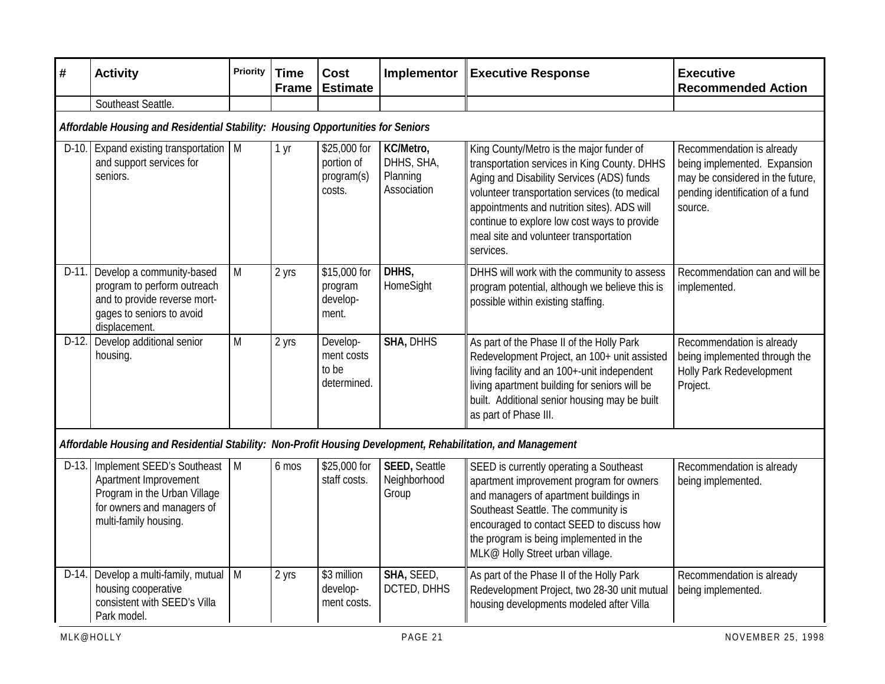| $\pmb{\#}$ | <b>Activity</b>                                                                                                                            | <b>Priority</b> | <b>Time</b><br><b>Frame</b> | <b>Cost</b><br><b>Estimate</b>                     | Implementor                                        | <b>Executive Response</b>                                                                                                                                                                                                                                                                                                                    | <b>Executive</b><br><b>Recommended Action</b>                                                                                                |  |
|------------|--------------------------------------------------------------------------------------------------------------------------------------------|-----------------|-----------------------------|----------------------------------------------------|----------------------------------------------------|----------------------------------------------------------------------------------------------------------------------------------------------------------------------------------------------------------------------------------------------------------------------------------------------------------------------------------------------|----------------------------------------------------------------------------------------------------------------------------------------------|--|
|            | Southeast Seattle.                                                                                                                         |                 |                             |                                                    |                                                    |                                                                                                                                                                                                                                                                                                                                              |                                                                                                                                              |  |
|            | Affordable Housing and Residential Stability: Housing Opportunities for Seniors                                                            |                 |                             |                                                    |                                                    |                                                                                                                                                                                                                                                                                                                                              |                                                                                                                                              |  |
|            | D-10. Expand existing transportation   M<br>and support services for<br>seniors.                                                           |                 | 1 yr                        | \$25,000 for<br>portion of<br>program(s)<br>costs. | KC/Metro,<br>DHHS, SHA,<br>Planning<br>Association | King County/Metro is the major funder of<br>transportation services in King County. DHHS<br>Aging and Disability Services (ADS) funds<br>volunteer transportation services (to medical<br>appointments and nutrition sites). ADS will<br>continue to explore low cost ways to provide<br>meal site and volunteer transportation<br>services. | Recommendation is already<br>being implemented. Expansion<br>may be considered in the future,<br>pending identification of a fund<br>source. |  |
| $D-11.$    | Develop a community-based<br>program to perform outreach<br>and to provide reverse mort-<br>gages to seniors to avoid<br>displacement.     | M               | 2 yrs                       | \$15,000 for<br>program<br>develop-<br>ment.       | DHHS,<br>HomeSight                                 | DHHS will work with the community to assess<br>program potential, although we believe this is<br>possible within existing staffing.                                                                                                                                                                                                          | Recommendation can and will be<br>implemented.                                                                                               |  |
|            | D-12. Develop additional senior<br>housing.                                                                                                | M               | 2 yrs                       | Develop-<br>ment costs<br>to be<br>determined.     | SHA, DHHS                                          | As part of the Phase II of the Holly Park<br>Redevelopment Project, an 100+ unit assisted<br>living facility and an 100+-unit independent<br>living apartment building for seniors will be<br>built. Additional senior housing may be built<br>as part of Phase III.                                                                         | Recommendation is already<br>being implemented through the<br>Holly Park Redevelopment<br>Project.                                           |  |
|            | Affordable Housing and Residential Stability: Non-Profit Housing Development, Rehabilitation, and Management                               |                 |                             |                                                    |                                                    |                                                                                                                                                                                                                                                                                                                                              |                                                                                                                                              |  |
| $D-13.$    | Implement SEED's Southeast<br>Apartment Improvement<br>Program in the Urban Village<br>for owners and managers of<br>multi-family housing. | $\mathsf{M}$    | 6 mos                       | \$25,000 for<br>staff costs.                       | <b>SEED, Seattle</b><br>Neighborhood<br>Group      | SEED is currently operating a Southeast<br>apartment improvement program for owners<br>and managers of apartment buildings in<br>Southeast Seattle. The community is<br>encouraged to contact SEED to discuss how<br>the program is being implemented in the<br>MLK@ Holly Street urban village.                                             | Recommendation is already<br>being implemented.                                                                                              |  |
|            | D-14. Develop a multi-family, mutual $\vert$ M<br>housing cooperative<br>consistent with SEED's Villa<br>Park model.                       |                 | 2 yrs                       | \$3 million<br>develop-<br>ment costs.             | SHA, SEED,<br>DCTED, DHHS                          | As part of the Phase II of the Holly Park<br>Redevelopment Project, two 28-30 unit mutual<br>housing developments modeled after Villa                                                                                                                                                                                                        | Recommendation is already<br>being implemented.                                                                                              |  |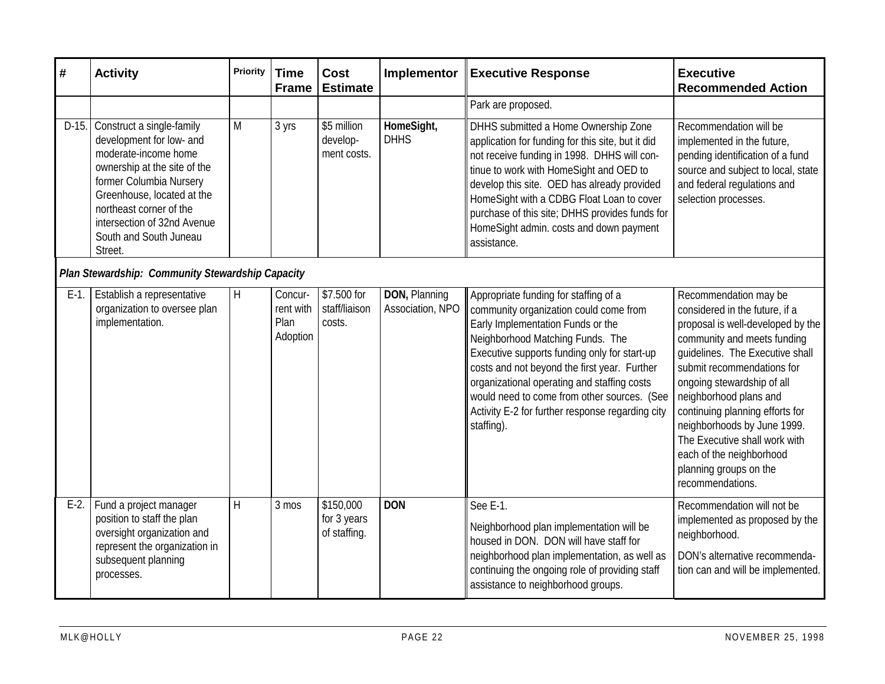| #       | <b>Activity</b>                                                                                                                                                                                                                                                       | <b>Priority</b> | <b>Time</b><br><b>Frame</b>              | <b>Cost</b><br><b>Estimate</b>           | Implementor                       | <b>Executive Response</b>                                                                                                                                                                                                                                                                                                                                                                                                | <b>Executive</b><br><b>Recommended Action</b>                                                                                                                                                                                                                                                                                                                                                                                     |  |
|---------|-----------------------------------------------------------------------------------------------------------------------------------------------------------------------------------------------------------------------------------------------------------------------|-----------------|------------------------------------------|------------------------------------------|-----------------------------------|--------------------------------------------------------------------------------------------------------------------------------------------------------------------------------------------------------------------------------------------------------------------------------------------------------------------------------------------------------------------------------------------------------------------------|-----------------------------------------------------------------------------------------------------------------------------------------------------------------------------------------------------------------------------------------------------------------------------------------------------------------------------------------------------------------------------------------------------------------------------------|--|
|         |                                                                                                                                                                                                                                                                       |                 |                                          |                                          |                                   | Park are proposed.                                                                                                                                                                                                                                                                                                                                                                                                       |                                                                                                                                                                                                                                                                                                                                                                                                                                   |  |
| $D-15.$ | Construct a single-family<br>development for low- and<br>moderate-income home<br>ownership at the site of the<br>former Columbia Nursery<br>Greenhouse, located at the<br>northeast corner of the<br>intersection of 32nd Avenue<br>South and South Juneau<br>Street. | M               | 3 yrs                                    | \$5 million<br>develop-<br>ment costs.   | HomeSight,<br><b>DHHS</b>         | DHHS submitted a Home Ownership Zone<br>application for funding for this site, but it did<br>not receive funding in 1998. DHHS will con-<br>tinue to work with HomeSight and OED to<br>develop this site. OED has already provided<br>HomeSight with a CDBG Float Loan to cover<br>purchase of this site; DHHS provides funds for<br>HomeSight admin. costs and down payment<br>assistance.                              | Recommendation will be<br>implemented in the future,<br>pending identification of a fund<br>source and subject to local, state<br>and federal regulations and<br>selection processes.                                                                                                                                                                                                                                             |  |
|         | Plan Stewardship: Community Stewardship Capacity                                                                                                                                                                                                                      |                 |                                          |                                          |                                   |                                                                                                                                                                                                                                                                                                                                                                                                                          |                                                                                                                                                                                                                                                                                                                                                                                                                                   |  |
| $E-1$ . | Establish a representative<br>organization to oversee plan<br>implementation.                                                                                                                                                                                         | H               | Concur-<br>rent with<br>Plan<br>Adoption | \$7.500 for<br>staff/liaison<br>costs.   | DON, Planning<br>Association, NPO | Appropriate funding for staffing of a<br>community organization could come from<br>Early Implementation Funds or the<br>Neighborhood Matching Funds. The<br>Executive supports funding only for start-up<br>costs and not beyond the first year. Further<br>organizational operating and staffing costs<br>would need to come from other sources. (See<br>Activity E-2 for further response regarding city<br>staffing). | Recommendation may be<br>considered in the future, if a<br>proposal is well-developed by the<br>community and meets funding<br>quidelines. The Executive shall<br>submit recommendations for<br>ongoing stewardship of all<br>neighborhood plans and<br>continuing planning efforts for<br>neighborhoods by June 1999.<br>The Executive shall work with<br>each of the neighborhood<br>planning groups on the<br>recommendations. |  |
| $E-2$ . | Fund a project manager<br>position to staff the plan<br>oversight organization and<br>represent the organization in<br>subsequent planning<br>processes.                                                                                                              | H               | 3 mos                                    | \$150,000<br>for 3 years<br>of staffing. | <b>DON</b>                        | See E-1.<br>Neighborhood plan implementation will be<br>housed in DON. DON will have staff for<br>neighborhood plan implementation, as well as<br>continuing the ongoing role of providing staff<br>assistance to neighborhood groups.                                                                                                                                                                                   | Recommendation will not be<br>implemented as proposed by the<br>neighborhood.<br>DON's alternative recommenda-<br>tion can and will be implemented.                                                                                                                                                                                                                                                                               |  |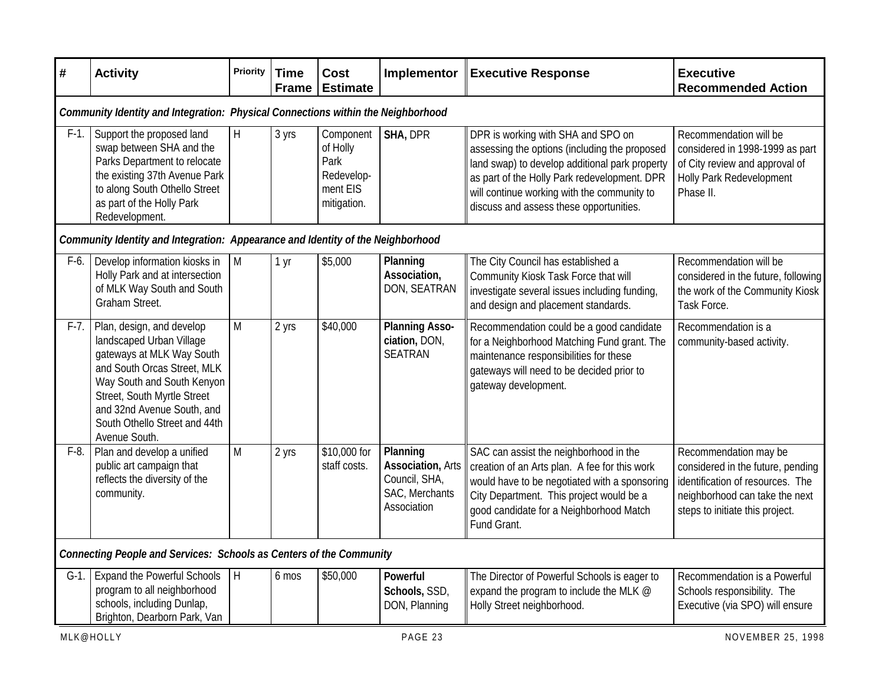| #       | <b>Activity</b>                                                                                                                                                                                                                                                | <b>Priority</b>         | <b>Time</b><br><b>Frame</b> | <b>Cost</b><br><b>Estimate</b>                                         | Implementor                                                                            | <b>Executive Response</b>                                                                                                                                                                                                                                                       | <b>Executive</b><br><b>Recommended Action</b>                                                                                                                       |  |
|---------|----------------------------------------------------------------------------------------------------------------------------------------------------------------------------------------------------------------------------------------------------------------|-------------------------|-----------------------------|------------------------------------------------------------------------|----------------------------------------------------------------------------------------|---------------------------------------------------------------------------------------------------------------------------------------------------------------------------------------------------------------------------------------------------------------------------------|---------------------------------------------------------------------------------------------------------------------------------------------------------------------|--|
|         | Community Identity and Integration: Physical Connections within the Neighborhood                                                                                                                                                                               |                         |                             |                                                                        |                                                                                        |                                                                                                                                                                                                                                                                                 |                                                                                                                                                                     |  |
| $F-1$ . | Support the proposed land<br>swap between SHA and the<br>Parks Department to relocate<br>the existing 37th Avenue Park<br>to along South Othello Street<br>as part of the Holly Park<br>Redevelopment.                                                         | H                       | 3 yrs                       | Component<br>of Holly<br>Park<br>Redevelop-<br>ment EIS<br>mitigation. | SHA, DPR                                                                               | DPR is working with SHA and SPO on<br>assessing the options (including the proposed<br>land swap) to develop additional park property<br>as part of the Holly Park redevelopment. DPR<br>will continue working with the community to<br>discuss and assess these opportunities. | Recommendation will be<br>considered in 1998-1999 as part<br>of City review and approval of<br>Holly Park Redevelopment<br>Phase II.                                |  |
|         | Community Identity and Integration: Appearance and Identity of the Neighborhood                                                                                                                                                                                |                         |                             |                                                                        |                                                                                        |                                                                                                                                                                                                                                                                                 |                                                                                                                                                                     |  |
| F-6.    | Develop information kiosks in<br>Holly Park and at intersection<br>of MLK Way South and South<br>Graham Street.                                                                                                                                                | $\mathsf{M}$            | 1 yr                        | \$5,000                                                                | Planning<br>Association,<br>DON, SEATRAN                                               | The City Council has established a<br>Community Kiosk Task Force that will<br>investigate several issues including funding,<br>and design and placement standards.                                                                                                              | Recommendation will be<br>considered in the future, following<br>the work of the Community Kiosk<br>Task Force.                                                     |  |
| $F-7.$  | Plan, design, and develop<br>landscaped Urban Village<br>gateways at MLK Way South<br>and South Orcas Street, MLK<br>Way South and South Kenyon<br>Street, South Myrtle Street<br>and 32nd Avenue South, and<br>South Othello Street and 44th<br>Avenue South. | M                       | 2 yrs                       | \$40,000                                                               | <b>Planning Asso-</b><br>ciation, DON,<br><b>SEATRAN</b>                               | Recommendation could be a good candidate<br>for a Neighborhood Matching Fund grant. The<br>maintenance responsibilities for these<br>gateways will need to be decided prior to<br>gateway development.                                                                          | Recommendation is a<br>community-based activity.                                                                                                                    |  |
| $F-8$ . | Plan and develop a unified<br>public art campaign that<br>reflects the diversity of the<br>community.                                                                                                                                                          | $\overline{M}$          | 2 yrs                       | \$10,000 for<br>staff costs.                                           | Planning<br><b>Association, Arts</b><br>Council, SHA,<br>SAC, Merchants<br>Association | SAC can assist the neighborhood in the<br>creation of an Arts plan. A fee for this work<br>would have to be negotiated with a sponsoring<br>City Department. This project would be a<br>good candidate for a Neighborhood Match<br>Fund Grant.                                  | Recommendation may be<br>considered in the future, pending<br>identification of resources. The<br>neighborhood can take the next<br>steps to initiate this project. |  |
|         | Connecting People and Services: Schools as Centers of the Community                                                                                                                                                                                            |                         |                             |                                                                        |                                                                                        |                                                                                                                                                                                                                                                                                 |                                                                                                                                                                     |  |
| $G-1$ . | <b>Expand the Powerful Schools</b><br>program to all neighborhood<br>schools, including Dunlap,<br>Brighton, Dearborn Park, Van                                                                                                                                | $\overline{\mathbf{H}}$ | 6 mos                       | \$50,000                                                               | Powerful<br>Schools, SSD,<br>DON, Planning                                             | The Director of Powerful Schools is eager to<br>expand the program to include the MLK @<br>Holly Street neighborhood.                                                                                                                                                           | Recommendation is a Powerful<br>Schools responsibility. The<br>Executive (via SPO) will ensure                                                                      |  |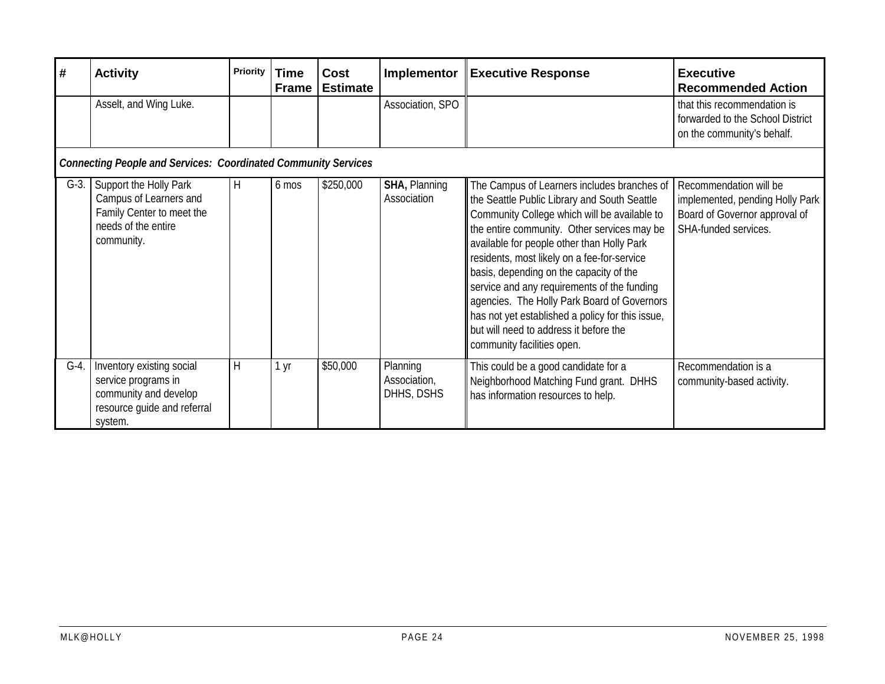| #       | <b>Activity</b>                                                                                                     | <b>Priority</b> | <b>Time</b><br><b>Frame</b> | Cost<br><b>Estimate</b> | Implementor                            | Executive Response                                                                                                                                                                                                                                                                                                                                                                                                                                                                                                                                           | <b>Executive</b><br><b>Recommended Action</b>                                                                      |
|---------|---------------------------------------------------------------------------------------------------------------------|-----------------|-----------------------------|-------------------------|----------------------------------------|--------------------------------------------------------------------------------------------------------------------------------------------------------------------------------------------------------------------------------------------------------------------------------------------------------------------------------------------------------------------------------------------------------------------------------------------------------------------------------------------------------------------------------------------------------------|--------------------------------------------------------------------------------------------------------------------|
|         | Asselt, and Wing Luke.                                                                                              |                 |                             |                         | Association, SPO                       |                                                                                                                                                                                                                                                                                                                                                                                                                                                                                                                                                              | that this recommendation is<br>forwarded to the School District<br>on the community's behalf.                      |
|         | <b>Connecting People and Services: Coordinated Community Services</b>                                               |                 |                             |                         |                                        |                                                                                                                                                                                                                                                                                                                                                                                                                                                                                                                                                              |                                                                                                                    |
| $G-3$ . | Support the Holly Park<br>Campus of Learners and<br>Family Center to meet the<br>needs of the entire<br>community.  | H               | 6 mos                       | \$250,000               | <b>SHA, Planning</b><br>Association    | The Campus of Learners includes branches of<br>the Seattle Public Library and South Seattle<br>Community College which will be available to<br>the entire community. Other services may be<br>available for people other than Holly Park<br>residents, most likely on a fee-for-service<br>basis, depending on the capacity of the<br>service and any requirements of the funding<br>agencies. The Holly Park Board of Governors<br>has not yet established a policy for this issue,<br>but will need to address it before the<br>community facilities open. | Recommendation will be<br>implemented, pending Holly Park<br>Board of Governor approval of<br>SHA-funded services. |
| $G-4$ . | Inventory existing social<br>service programs in<br>community and develop<br>resource guide and referral<br>system. | H               | 1 yr                        | \$50,000                | Planning<br>Association,<br>DHHS, DSHS | This could be a good candidate for a<br>Neighborhood Matching Fund grant. DHHS<br>has information resources to help.                                                                                                                                                                                                                                                                                                                                                                                                                                         | Recommendation is a<br>community-based activity.                                                                   |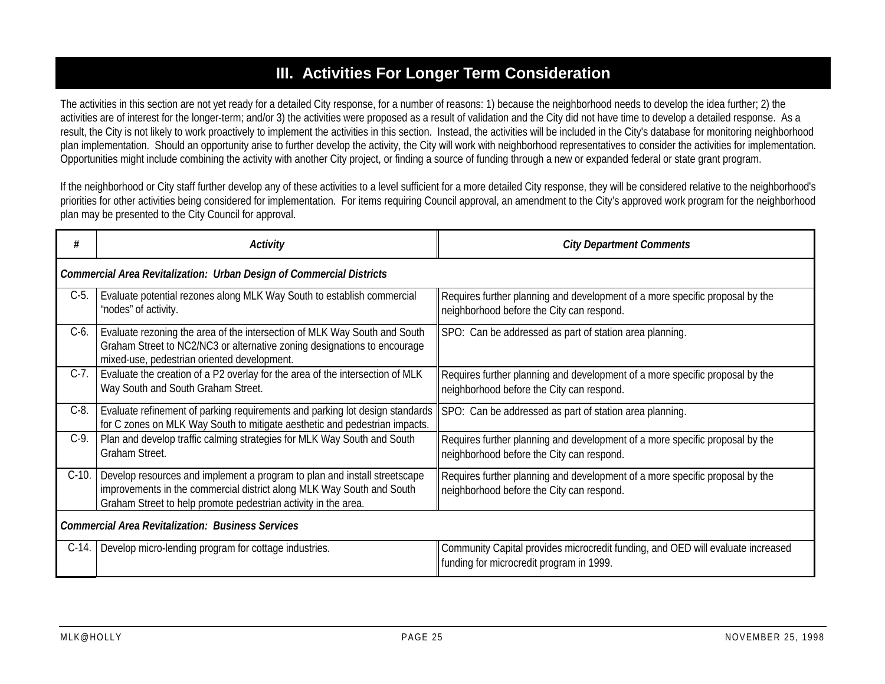#### **III. Activities For Longer Term Consideration**

The activities in this section are not yet ready for a detailed City response, for a number of reasons: 1) because the neighborhood needs to develop the idea further; 2) the activities are of interest for the longer-term; and/or 3) the activities were proposed as a result of validation and the City did not have time to develop a detailed response. As a result, the City is not likely to work proactively to implement the activities in this section. Instead, the activities will be included in the City's database for monitoring neighborhood plan implementation. Should an opportunity arise to further develop the activity, the City will work with neighborhood representatives to consider the activities for implementation. Opportunities might include combining the activity with another City project, or finding a source of funding through a new or expanded federal or state grant program.

If the neighborhood or City staff further develop any of these activities to a level sufficient for a more detailed City response, they will be considered relative to the neighborhood's priorities for other activities being considered for implementation. For items requiring Council approval, an amendment to the City's approved work program for the neighborhood plan may be presented to the City Council for approval.

| #                                                        | Activity                                                                                                                                                                                                             | <b>City Department Comments</b>                                                                                             |  |  |  |  |  |  |  |
|----------------------------------------------------------|----------------------------------------------------------------------------------------------------------------------------------------------------------------------------------------------------------------------|-----------------------------------------------------------------------------------------------------------------------------|--|--|--|--|--|--|--|
|                                                          | <b>Commercial Area Revitalization: Urban Design of Commercial Districts</b>                                                                                                                                          |                                                                                                                             |  |  |  |  |  |  |  |
| $C-5$ .                                                  | Evaluate potential rezones along MLK Way South to establish commercial<br>"nodes" of activity.                                                                                                                       | Requires further planning and development of a more specific proposal by the<br>neighborhood before the City can respond.   |  |  |  |  |  |  |  |
| $C-6$ .                                                  | Evaluate rezoning the area of the intersection of MLK Way South and South<br>Graham Street to NC2/NC3 or alternative zoning designations to encourage<br>mixed-use, pedestrian oriented development.                 | SPO: Can be addressed as part of station area planning.                                                                     |  |  |  |  |  |  |  |
| $C-7$ .                                                  | Evaluate the creation of a P2 overlay for the area of the intersection of MLK<br>Way South and South Graham Street.                                                                                                  | Requires further planning and development of a more specific proposal by the<br>neighborhood before the City can respond.   |  |  |  |  |  |  |  |
| $C-8$ .                                                  | Evaluate refinement of parking requirements and parking lot design standards<br>for C zones on MLK Way South to mitigate aesthetic and pedestrian impacts.                                                           | SPO: Can be addressed as part of station area planning.                                                                     |  |  |  |  |  |  |  |
| $C-9$ .                                                  | Plan and develop traffic calming strategies for MLK Way South and South<br>Graham Street.                                                                                                                            | Requires further planning and development of a more specific proposal by the<br>neighborhood before the City can respond.   |  |  |  |  |  |  |  |
| $C-10.$                                                  | Develop resources and implement a program to plan and install streetscape<br>improvements in the commercial district along MLK Way South and South<br>Graham Street to help promote pedestrian activity in the area. | Requires further planning and development of a more specific proposal by the<br>neighborhood before the City can respond.   |  |  |  |  |  |  |  |
| <b>Commercial Area Revitalization: Business Services</b> |                                                                                                                                                                                                                      |                                                                                                                             |  |  |  |  |  |  |  |
| $C-14.$                                                  | Develop micro-lending program for cottage industries.                                                                                                                                                                | Community Capital provides microcredit funding, and OED will evaluate increased<br>funding for microcredit program in 1999. |  |  |  |  |  |  |  |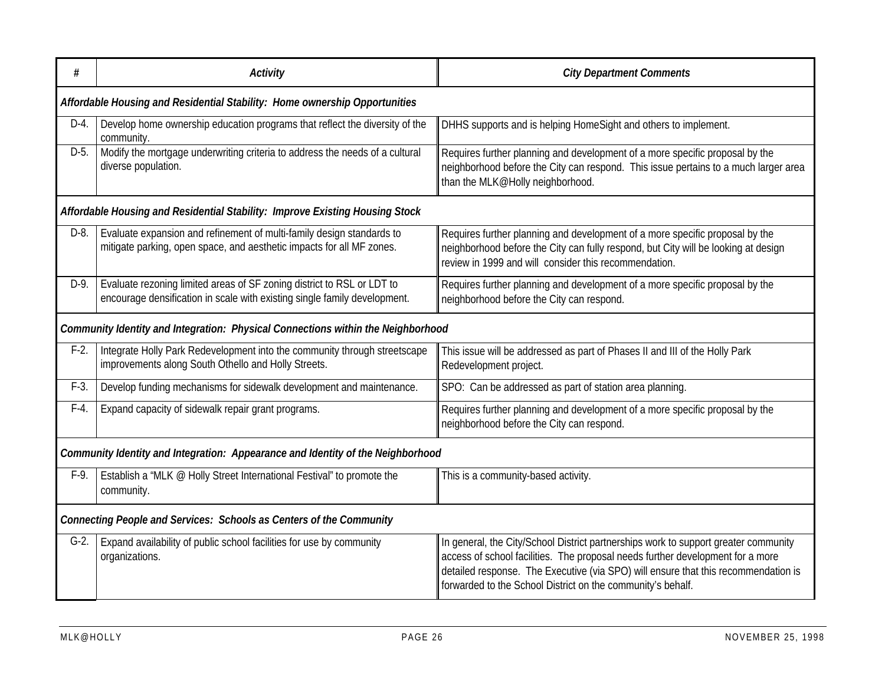| #       | <b>Activity</b>                                                                                                                                     | <b>City Department Comments</b>                                                                                                                                                                                                                                                                                            |
|---------|-----------------------------------------------------------------------------------------------------------------------------------------------------|----------------------------------------------------------------------------------------------------------------------------------------------------------------------------------------------------------------------------------------------------------------------------------------------------------------------------|
|         | Affordable Housing and Residential Stability: Home ownership Opportunities                                                                          |                                                                                                                                                                                                                                                                                                                            |
| $D-4.$  | Develop home ownership education programs that reflect the diversity of the<br>community.                                                           | DHHS supports and is helping HomeSight and others to implement.                                                                                                                                                                                                                                                            |
| $D-5$   | Modify the mortgage underwriting criteria to address the needs of a cultural<br>diverse population.                                                 | Requires further planning and development of a more specific proposal by the<br>neighborhood before the City can respond. This issue pertains to a much larger area<br>than the MLK@Holly neighborhood.                                                                                                                    |
|         | Affordable Housing and Residential Stability: Improve Existing Housing Stock                                                                        |                                                                                                                                                                                                                                                                                                                            |
| $D-8$ . | Evaluate expansion and refinement of multi-family design standards to<br>mitigate parking, open space, and aesthetic impacts for all MF zones.      | Requires further planning and development of a more specific proposal by the<br>neighborhood before the City can fully respond, but City will be looking at design<br>review in 1999 and will consider this recommendation.                                                                                                |
| D-9.    | Evaluate rezoning limited areas of SF zoning district to RSL or LDT to<br>encourage densification in scale with existing single family development. | Requires further planning and development of a more specific proposal by the<br>neighborhood before the City can respond.                                                                                                                                                                                                  |
|         | Community Identity and Integration: Physical Connections within the Neighborhood                                                                    |                                                                                                                                                                                                                                                                                                                            |
| $F-2$ . | Integrate Holly Park Redevelopment into the community through streetscape<br>improvements along South Othello and Holly Streets.                    | This issue will be addressed as part of Phases II and III of the Holly Park<br>Redevelopment project.                                                                                                                                                                                                                      |
| $F-3$ . | Develop funding mechanisms for sidewalk development and maintenance.                                                                                | SPO: Can be addressed as part of station area planning.                                                                                                                                                                                                                                                                    |
| $F-4$ . | Expand capacity of sidewalk repair grant programs.                                                                                                  | Requires further planning and development of a more specific proposal by the<br>neighborhood before the City can respond.                                                                                                                                                                                                  |
|         | Community Identity and Integration: Appearance and Identity of the Neighborhood                                                                     |                                                                                                                                                                                                                                                                                                                            |
| $F-9.$  | Establish a "MLK @ Holly Street International Festival" to promote the<br>community.                                                                | This is a community-based activity.                                                                                                                                                                                                                                                                                        |
|         | <b>Connecting People and Services: Schools as Centers of the Community</b>                                                                          |                                                                                                                                                                                                                                                                                                                            |
| $G-2$ . | Expand availability of public school facilities for use by community<br>organizations.                                                              | In general, the City/School District partnerships work to support greater community<br>access of school facilities. The proposal needs further development for a more<br>detailed response. The Executive (via SPO) will ensure that this recommendation is<br>forwarded to the School District on the community's behalf. |